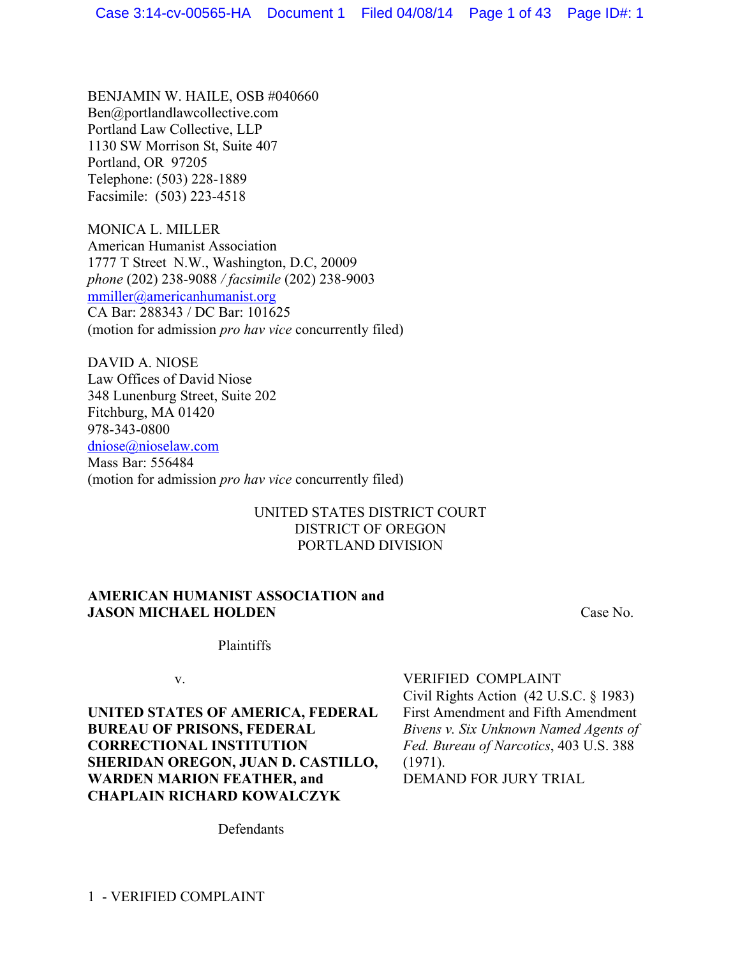BENJAMIN W. HAILE, OSB #040660 Ben@portlandlawcollective.com Portland Law Collective, LLP 1130 SW Morrison St, Suite 407 Portland, OR 97205 Telephone: (503) 228-1889 Facsimile: (503) 223-4518

MONICA L. MILLER American Humanist Association 1777 T Street N.W., Washington, D.C, 20009 *phone* (202) 238-9088 */ facsimile* (202) 238-9003 mmiller@americanhumanist.org CA Bar: 288343 / DC Bar: 101625 (motion for admission *pro hav vice* concurrently filed)

DAVID A. NIOSE Law Offices of David Niose 348 Lunenburg Street, Suite 202 Fitchburg, MA 01420 978-343-0800 dniose@nioselaw.com Mass Bar: 556484 (motion for admission *pro hav vice* concurrently filed)

# UNITED STATES DISTRICT COURT DISTRICT OF OREGON PORTLAND DIVISION

# **AMERICAN HUMANIST ASSOCIATION and JASON MICHAEL HOLDEN**

Case No.

Plaintiffs

v.

**UNITED STATES OF AMERICA, FEDERAL BUREAU OF PRISONS, FEDERAL CORRECTIONAL INSTITUTION SHERIDAN OREGON, JUAN D. CASTILLO, WARDEN MARION FEATHER, and CHAPLAIN RICHARD KOWALCZYK**

VERIFIED COMPLAINT

Civil Rights Action (42 U.S.C. § 1983) First Amendment and Fifth Amendment *Bivens v. Six Unknown Named Agents of Fed. Bureau of Narcotics*, 403 U.S. 388 (1971). DEMAND FOR JURY TRIAL

**Defendants**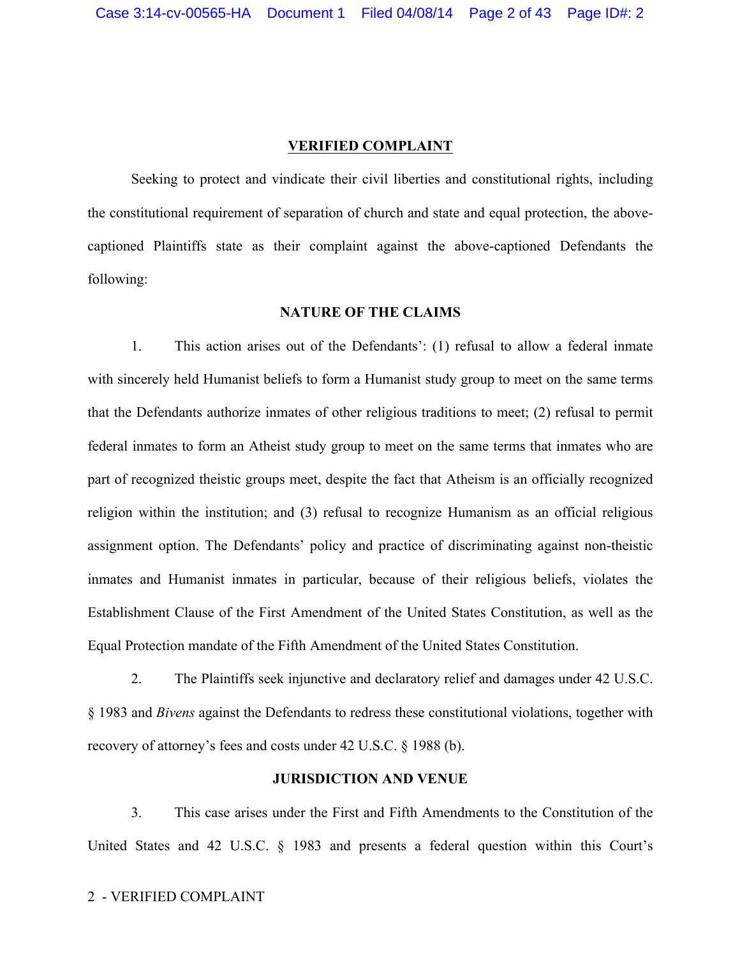#### **VERIFIED COMPLAINT**

Seeking to protect and vindicate their civil liberties and constitutional rights, including the constitutional requirement of separation of church and state and equal protection, the abovecaptioned Plaintiffs state as their complaint against the above-captioned Defendants the following:

### **NATURE OF THE CLAIMS**

1. This action arises out of the Defendants': (1) refusal to allow a federal inmate with sincerely held Humanist beliefs to form a Humanist study group to meet on the same terms that the Defendants authorize inmates of other religious traditions to meet; (2) refusal to permit federal inmates to form an Atheist study group to meet on the same terms that inmates who are part of recognized theistic groups meet, despite the fact that Atheism is an officially recognized religion within the institution; and (3) refusal to recognize Humanism as an official religious assignment option. The Defendants' policy and practice of discriminating against non-theistic inmates and Humanist inmates in particular, because of their religious beliefs, violates the Establishment Clause of the First Amendment of the United States Constitution, as well as the Equal Protection mandate of the Fifth Amendment of the United States Constitution.

2. The Plaintiffs seek injunctive and declaratory relief and damages under 42 U.S.C. § 1983 and *Bivens* against the Defendants to redress these constitutional violations, together with recovery of attorney's fees and costs under 42 U.S.C. § 1988 (b).

# **JURISDICTION AND VENUE**

3. This case arises under the First and Fifth Amendments to the Constitution of the United States and 42 U.S.C. § 1983 and presents a federal question within this Court's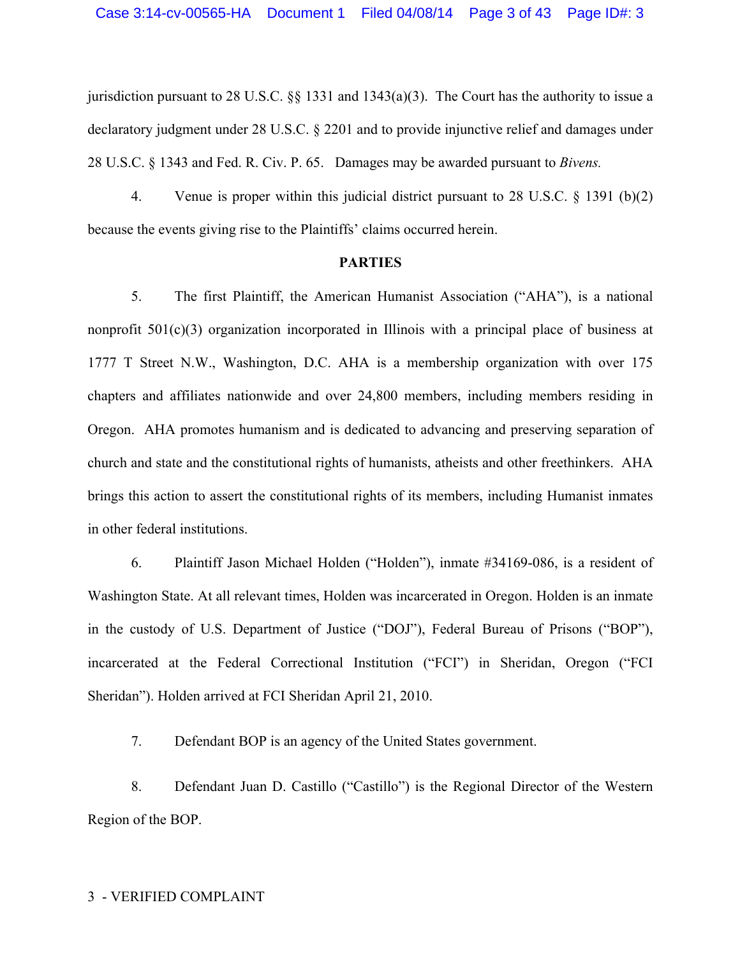jurisdiction pursuant to 28 U.S.C. §§ 1331 and 1343(a)(3). The Court has the authority to issue a declaratory judgment under 28 U.S.C. § 2201 and to provide injunctive relief and damages under 28 U.S.C. § 1343 and Fed. R. Civ. P. 65. Damages may be awarded pursuant to *Bivens.* 

4. Venue is proper within this judicial district pursuant to 28 U.S.C. § 1391 (b)(2) because the events giving rise to the Plaintiffs' claims occurred herein.

#### **PARTIES**

5. The first Plaintiff, the American Humanist Association ("AHA"), is a national nonprofit 501(c)(3) organization incorporated in Illinois with a principal place of business at 1777 T Street N.W., Washington, D.C. AHA is a membership organization with over 175 chapters and affiliates nationwide and over 24,800 members, including members residing in Oregon. AHA promotes humanism and is dedicated to advancing and preserving separation of church and state and the constitutional rights of humanists, atheists and other freethinkers. AHA brings this action to assert the constitutional rights of its members, including Humanist inmates in other federal institutions.

6. Plaintiff Jason Michael Holden ("Holden"), inmate #34169-086, is a resident of Washington State. At all relevant times, Holden was incarcerated in Oregon. Holden is an inmate in the custody of U.S. Department of Justice ("DOJ"), Federal Bureau of Prisons ("BOP"), incarcerated at the Federal Correctional Institution ("FCI") in Sheridan, Oregon ("FCI Sheridan"). Holden arrived at FCI Sheridan April 21, 2010.

7. Defendant BOP is an agency of the United States government.

8. Defendant Juan D. Castillo ("Castillo") is the Regional Director of the Western Region of the BOP.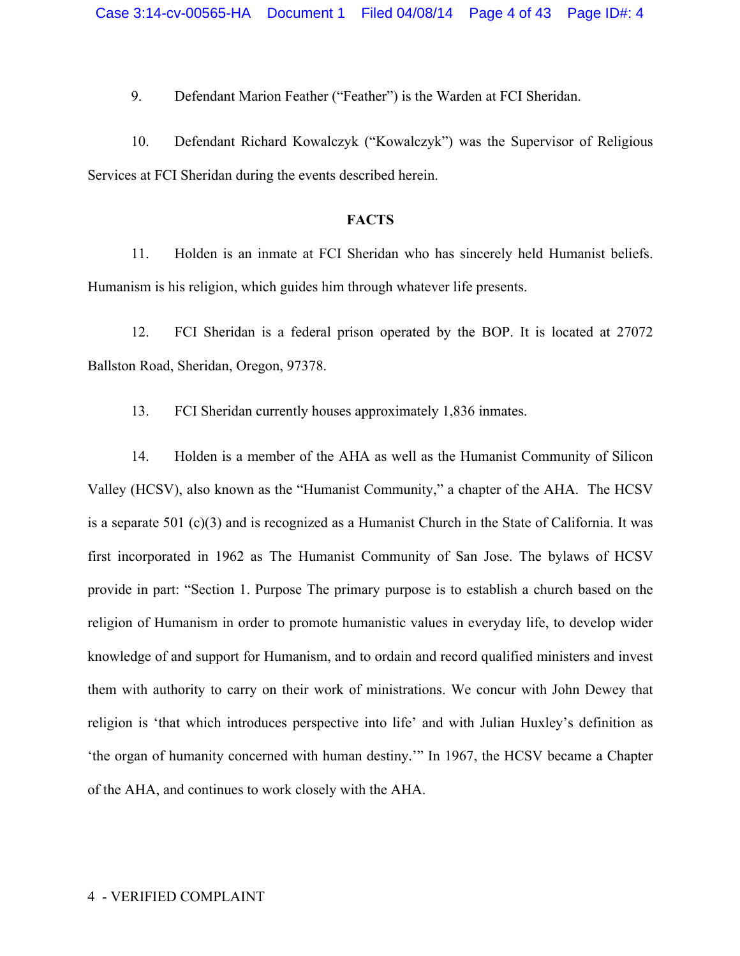9. Defendant Marion Feather ("Feather") is the Warden at FCI Sheridan.

10. Defendant Richard Kowalczyk ("Kowalczyk") was the Supervisor of Religious Services at FCI Sheridan during the events described herein.

### **FACTS**

11. Holden is an inmate at FCI Sheridan who has sincerely held Humanist beliefs. Humanism is his religion, which guides him through whatever life presents.

12. FCI Sheridan is a federal prison operated by the BOP. It is located at 27072 Ballston Road, Sheridan, Oregon, 97378.

13. FCI Sheridan currently houses approximately 1,836 inmates.

14. Holden is a member of the AHA as well as the Humanist Community of Silicon Valley (HCSV), also known as the "Humanist Community," a chapter of the AHA. The HCSV is a separate 501 (c)(3) and is recognized as a Humanist Church in the State of California. It was first incorporated in 1962 as The Humanist Community of San Jose. The bylaws of HCSV provide in part: "Section 1. Purpose The primary purpose is to establish a church based on the religion of Humanism in order to promote humanistic values in everyday life, to develop wider knowledge of and support for Humanism, and to ordain and record qualified ministers and invest them with authority to carry on their work of ministrations. We concur with John Dewey that religion is 'that which introduces perspective into life' and with Julian Huxley's definition as 'the organ of humanity concerned with human destiny.'" In 1967, the HCSV became a Chapter of the AHA, and continues to work closely with the AHA.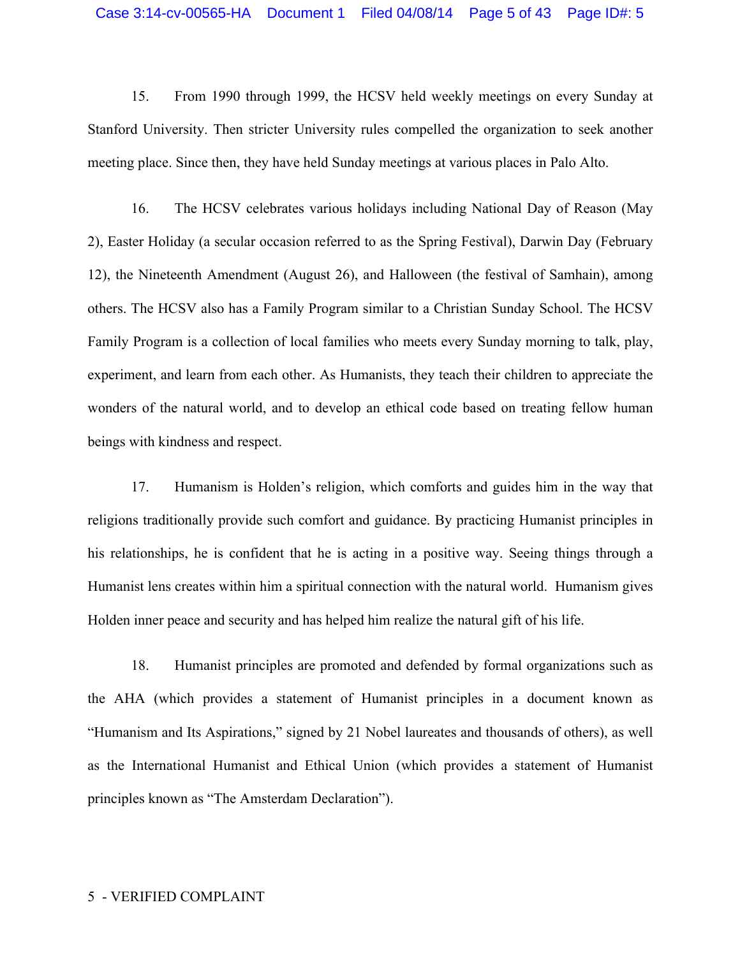## Case 3:14-cv-00565-HA Document 1 Filed 04/08/14 Page 5 of 43 Page ID#: 5

15. From 1990 through 1999, the HCSV held weekly meetings on every Sunday at Stanford University. Then stricter University rules compelled the organization to seek another meeting place. Since then, they have held Sunday meetings at various places in Palo Alto.

16. The HCSV celebrates various holidays including National Day of Reason (May 2), Easter Holiday (a secular occasion referred to as the Spring Festival), Darwin Day (February 12), the Nineteenth Amendment (August 26), and Halloween (the festival of Samhain), among others. The HCSV also has a Family Program similar to a Christian Sunday School. The HCSV Family Program is a collection of local families who meets every Sunday morning to talk, play, experiment, and learn from each other. As Humanists, they teach their children to appreciate the wonders of the natural world, and to develop an ethical code based on treating fellow human beings with kindness and respect.

17. Humanism is Holden's religion, which comforts and guides him in the way that religions traditionally provide such comfort and guidance. By practicing Humanist principles in his relationships, he is confident that he is acting in a positive way. Seeing things through a Humanist lens creates within him a spiritual connection with the natural world. Humanism gives Holden inner peace and security and has helped him realize the natural gift of his life.

18. Humanist principles are promoted and defended by formal organizations such as the AHA (which provides a statement of Humanist principles in a document known as "Humanism and Its Aspirations," signed by 21 Nobel laureates and thousands of others), as well as the International Humanist and Ethical Union (which provides a statement of Humanist principles known as "The Amsterdam Declaration").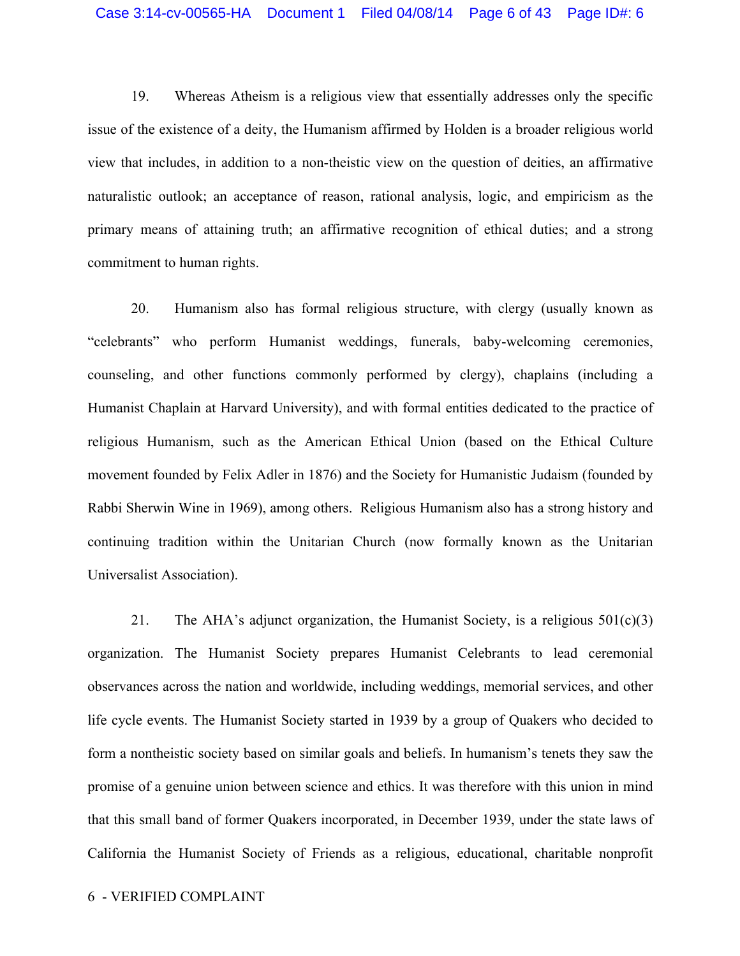19. Whereas Atheism is a religious view that essentially addresses only the specific issue of the existence of a deity, the Humanism affirmed by Holden is a broader religious world view that includes, in addition to a non-theistic view on the question of deities, an affirmative naturalistic outlook; an acceptance of reason, rational analysis, logic, and empiricism as the primary means of attaining truth; an affirmative recognition of ethical duties; and a strong commitment to human rights.

20. Humanism also has formal religious structure, with clergy (usually known as "celebrants" who perform Humanist weddings, funerals, baby-welcoming ceremonies, counseling, and other functions commonly performed by clergy), chaplains (including a Humanist Chaplain at Harvard University), and with formal entities dedicated to the practice of religious Humanism, such as the American Ethical Union (based on the Ethical Culture movement founded by Felix Adler in 1876) and the Society for Humanistic Judaism (founded by Rabbi Sherwin Wine in 1969), among others. Religious Humanism also has a strong history and continuing tradition within the Unitarian Church (now formally known as the Unitarian Universalist Association).

21. The AHA's adjunct organization, the Humanist Society, is a religious  $501(c)(3)$ organization. The Humanist Society prepares Humanist Celebrants to lead ceremonial observances across the nation and worldwide, including weddings, memorial services, and other life cycle events. The Humanist Society started in 1939 by a group of Quakers who decided to form a nontheistic society based on similar goals and beliefs. In humanism's tenets they saw the promise of a genuine union between science and ethics. It was therefore with this union in mind that this small band of former Quakers incorporated, in December 1939, under the state laws of California the Humanist Society of Friends as a religious, educational, charitable nonprofit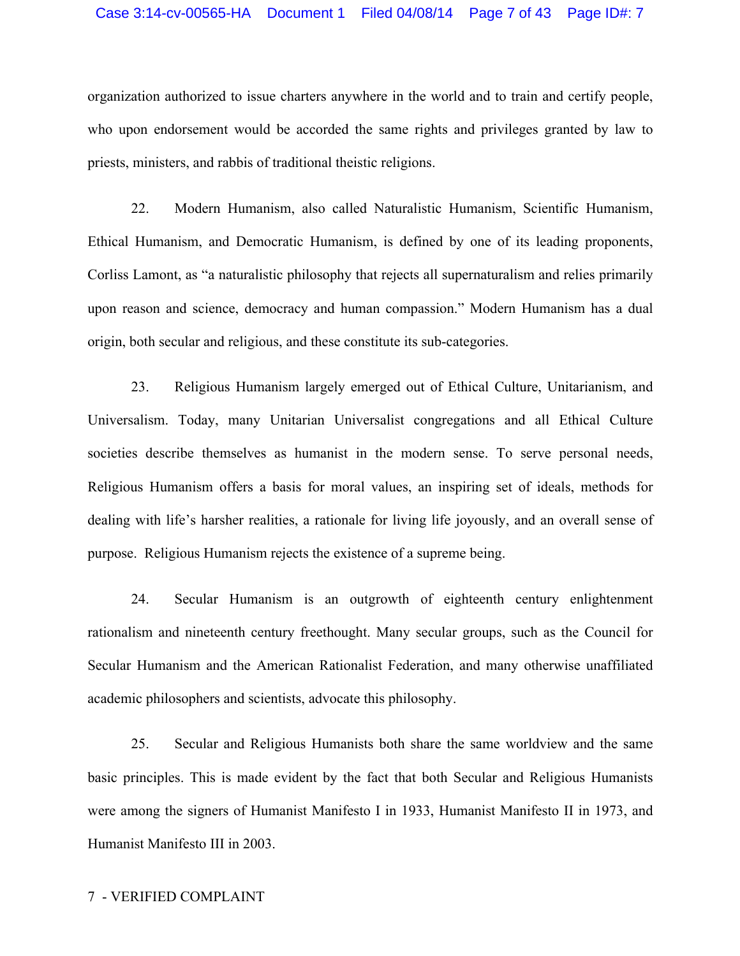#### Case 3:14-cv-00565-HA Document 1 Filed 04/08/14 Page 7 of 43 Page ID#: 7

organization authorized to issue charters anywhere in the world and to train and certify people, who upon endorsement would be accorded the same rights and privileges granted by law to priests, ministers, and rabbis of traditional theistic religions.

22. Modern Humanism, also called Naturalistic Humanism, Scientific Humanism, Ethical Humanism, and Democratic Humanism, is defined by one of its leading proponents, Corliss Lamont, as "a naturalistic philosophy that rejects all supernaturalism and relies primarily upon reason and science, democracy and human compassion." Modern Humanism has a dual origin, both secular and religious, and these constitute its sub-categories.

23. Religious Humanism largely emerged out of Ethical Culture, Unitarianism, and Universalism. Today, many Unitarian Universalist congregations and all Ethical Culture societies describe themselves as humanist in the modern sense. To serve personal needs, Religious Humanism offers a basis for moral values, an inspiring set of ideals, methods for dealing with life's harsher realities, a rationale for living life joyously, and an overall sense of purpose. Religious Humanism rejects the existence of a supreme being.

24. Secular Humanism is an outgrowth of eighteenth century enlightenment rationalism and nineteenth century freethought. Many secular groups, such as the Council for Secular Humanism and the American Rationalist Federation, and many otherwise unaffiliated academic philosophers and scientists, advocate this philosophy.

25. Secular and Religious Humanists both share the same worldview and the same basic principles. This is made evident by the fact that both Secular and Religious Humanists were among the signers of Humanist Manifesto I in 1933, Humanist Manifesto II in 1973, and Humanist Manifesto III in 2003.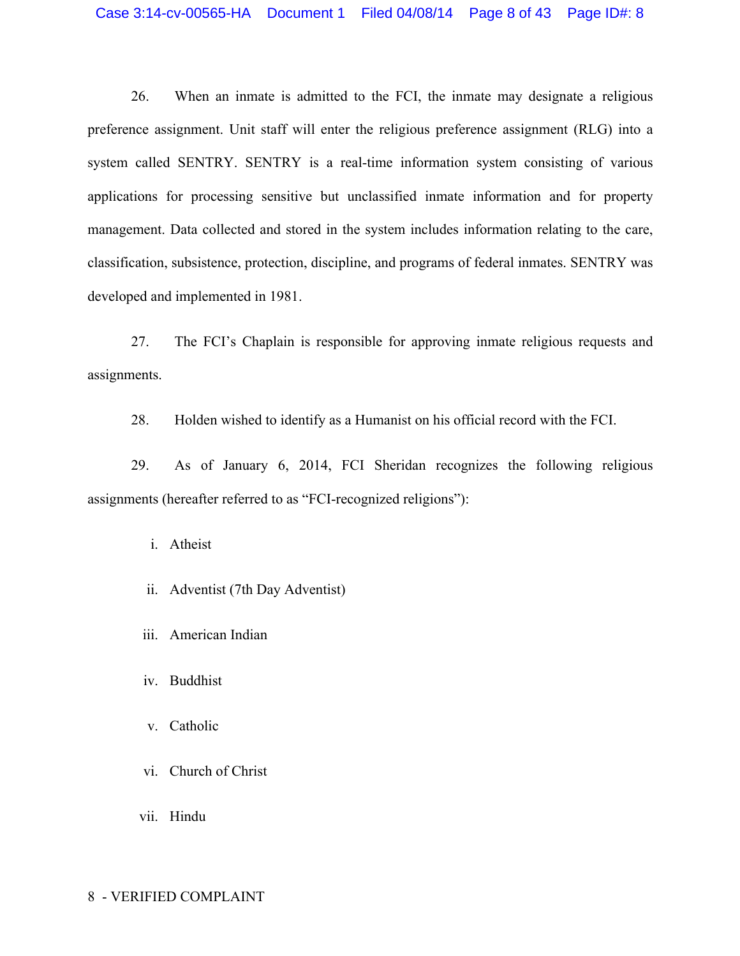# Case 3:14-cv-00565-HA Document 1 Filed 04/08/14 Page 8 of 43 Page ID#: 8

26. When an inmate is admitted to the FCI, the inmate may designate a religious preference assignment. Unit staff will enter the religious preference assignment (RLG) into a system called SENTRY. SENTRY is a real-time information system consisting of various applications for processing sensitive but unclassified inmate information and for property management. Data collected and stored in the system includes information relating to the care, classification, subsistence, protection, discipline, and programs of federal inmates. SENTRY was developed and implemented in 1981.

27. The FCI's Chaplain is responsible for approving inmate religious requests and assignments.

28. Holden wished to identify as a Humanist on his official record with the FCI.

29. As of January 6, 2014, FCI Sheridan recognizes the following religious assignments (hereafter referred to as "FCI-recognized religions"):

i. Atheist

- ii. Adventist (7th Day Adventist)
- iii. American Indian
- iv. Buddhist
- v. Catholic
- vi. Church of Christ
- vii. Hindu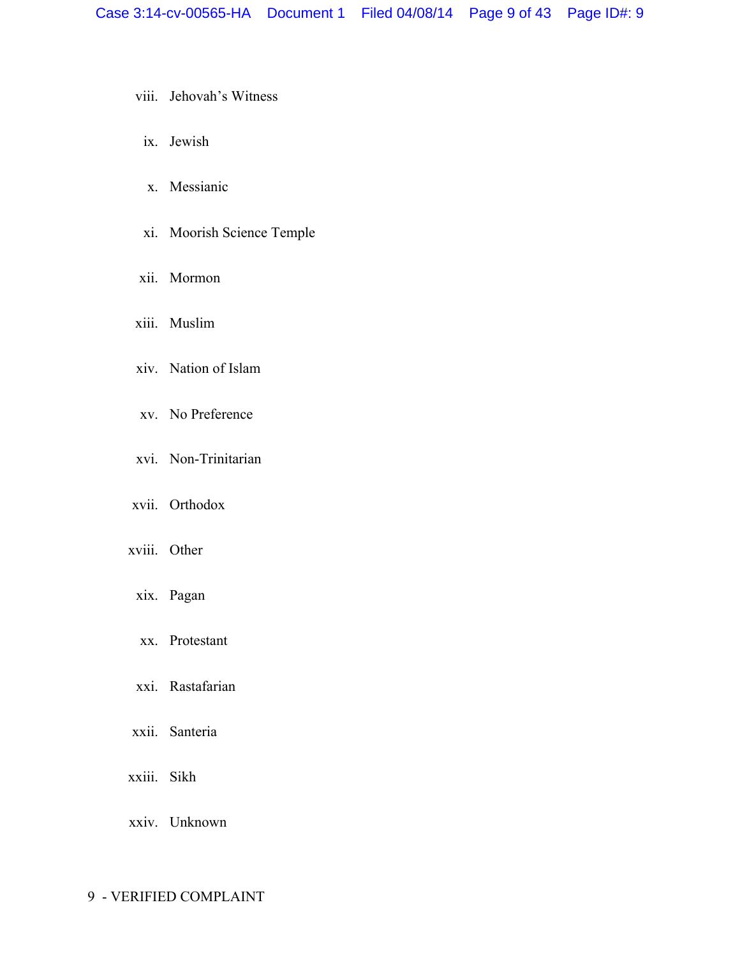- viii. Jehovah's Witness
- ix. Jewish
- x. Messianic
- xi. Moorish Science Temple
- xii. Mormon
- xiii. Muslim
- xiv. Nation of Islam
- xv. No Preference
- xvi. Non-Trinitarian
- xvii. Orthodox
- xviii. Other
- xix. Pagan
- xx. Protestant
- xxi. Rastafarian
- xxii. Santeria
- xxiii. Sikh
- xxiv. Unknown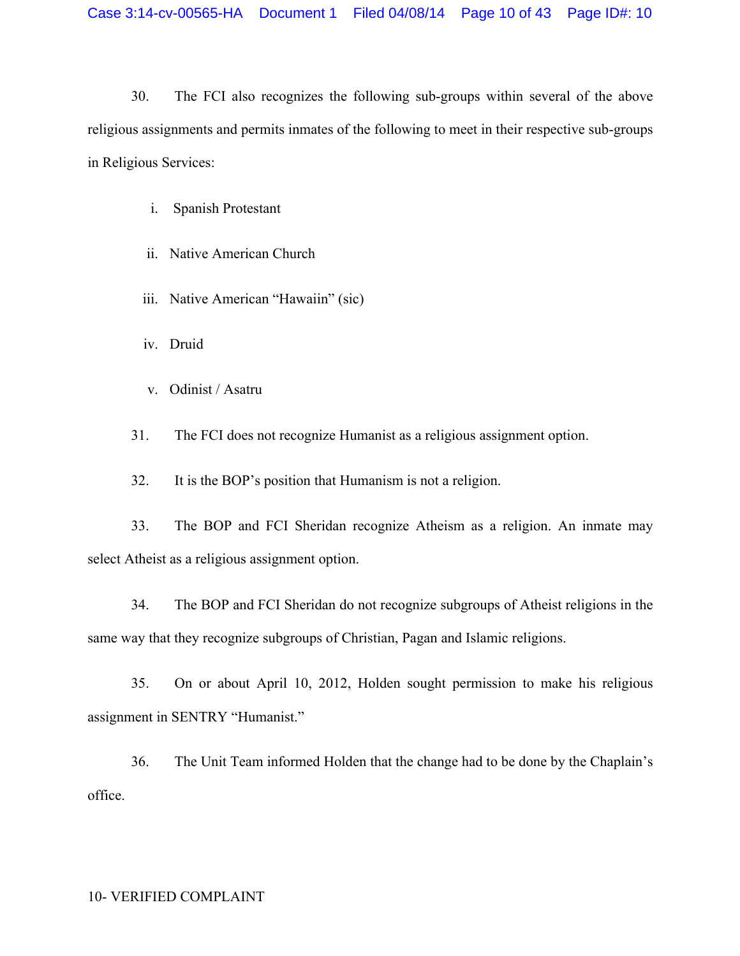30. The FCI also recognizes the following sub-groups within several of the above religious assignments and permits inmates of the following to meet in their respective sub-groups in Religious Services:

- i. Spanish Protestant
- ii. Native American Church
- iii. Native American "Hawaiin" (sic)
- iv. Druid
- v. Odinist / Asatru

31. The FCI does not recognize Humanist as a religious assignment option.

32. It is the BOP's position that Humanism is not a religion.

33. The BOP and FCI Sheridan recognize Atheism as a religion. An inmate may select Atheist as a religious assignment option.

34. The BOP and FCI Sheridan do not recognize subgroups of Atheist religions in the same way that they recognize subgroups of Christian, Pagan and Islamic religions.

35. On or about April 10, 2012, Holden sought permission to make his religious assignment in SENTRY "Humanist."

36. The Unit Team informed Holden that the change had to be done by the Chaplain's office.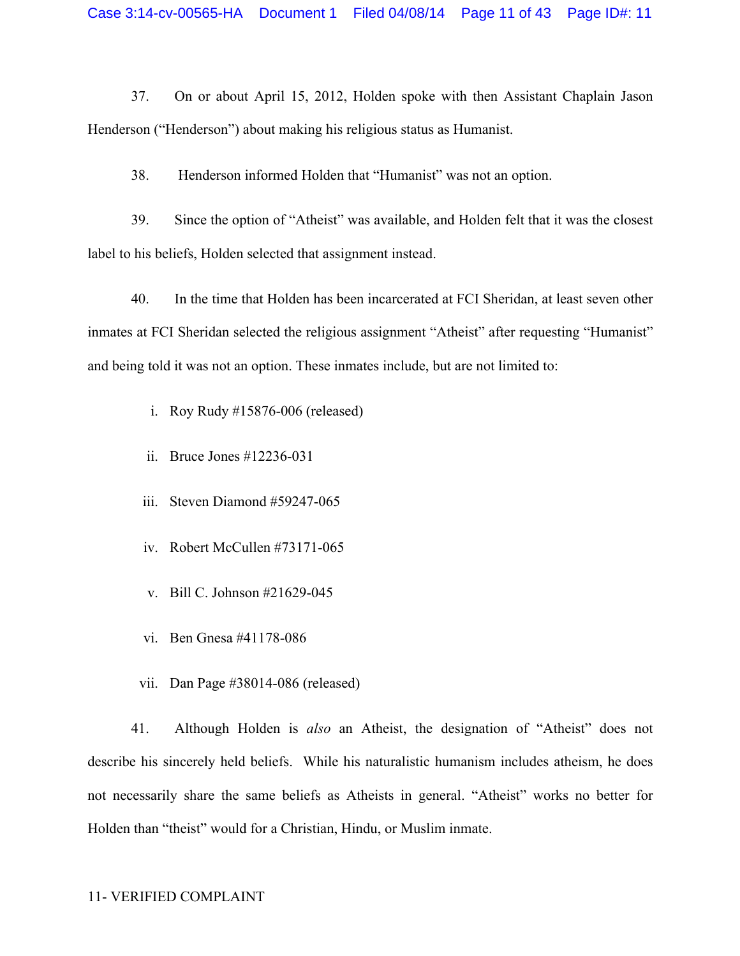37. On or about April 15, 2012, Holden spoke with then Assistant Chaplain Jason Henderson ("Henderson") about making his religious status as Humanist.

38. Henderson informed Holden that "Humanist" was not an option.

39. Since the option of "Atheist" was available, and Holden felt that it was the closest label to his beliefs, Holden selected that assignment instead.

40. In the time that Holden has been incarcerated at FCI Sheridan, at least seven other inmates at FCI Sheridan selected the religious assignment "Atheist" after requesting "Humanist" and being told it was not an option. These inmates include, but are not limited to:

i. Roy Rudy #15876-006 (released)

- ii. Bruce Jones #12236-031
- iii. Steven Diamond #59247-065
- iv. Robert McCullen #73171-065
- v. Bill C. Johnson #21629-045
- vi. Ben Gnesa #41178-086
- vii. Dan Page #38014-086 (released)

41. Although Holden is *also* an Atheist, the designation of "Atheist" does not describe his sincerely held beliefs. While his naturalistic humanism includes atheism, he does not necessarily share the same beliefs as Atheists in general. "Atheist" works no better for Holden than "theist" would for a Christian, Hindu, or Muslim inmate.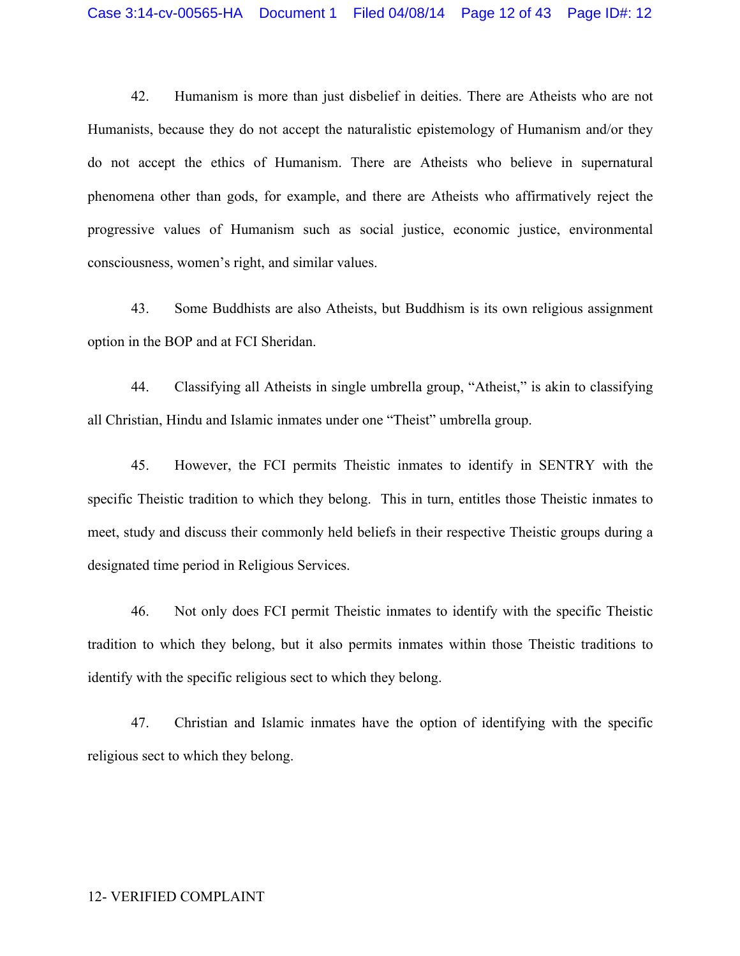42. Humanism is more than just disbelief in deities. There are Atheists who are not Humanists, because they do not accept the naturalistic epistemology of Humanism and/or they do not accept the ethics of Humanism. There are Atheists who believe in supernatural phenomena other than gods, for example, and there are Atheists who affirmatively reject the progressive values of Humanism such as social justice, economic justice, environmental consciousness, women's right, and similar values.

43. Some Buddhists are also Atheists, but Buddhism is its own religious assignment option in the BOP and at FCI Sheridan.

44. Classifying all Atheists in single umbrella group, "Atheist," is akin to classifying all Christian, Hindu and Islamic inmates under one "Theist" umbrella group.

45. However, the FCI permits Theistic inmates to identify in SENTRY with the specific Theistic tradition to which they belong. This in turn, entitles those Theistic inmates to meet, study and discuss their commonly held beliefs in their respective Theistic groups during a designated time period in Religious Services.

46. Not only does FCI permit Theistic inmates to identify with the specific Theistic tradition to which they belong, but it also permits inmates within those Theistic traditions to identify with the specific religious sect to which they belong.

47. Christian and Islamic inmates have the option of identifying with the specific religious sect to which they belong.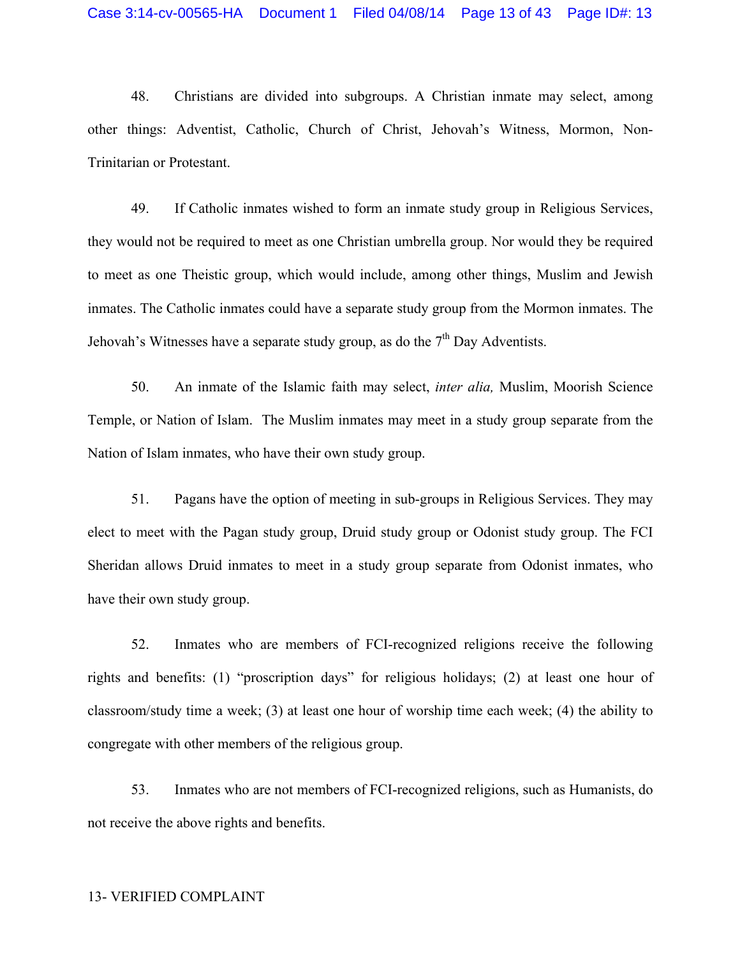48. Christians are divided into subgroups. A Christian inmate may select, among other things: Adventist, Catholic, Church of Christ, Jehovah's Witness, Mormon, Non-Trinitarian or Protestant.

49. If Catholic inmates wished to form an inmate study group in Religious Services, they would not be required to meet as one Christian umbrella group. Nor would they be required to meet as one Theistic group, which would include, among other things, Muslim and Jewish inmates. The Catholic inmates could have a separate study group from the Mormon inmates. The Jehovah's Witnesses have a separate study group, as do the  $7<sup>th</sup>$  Day Adventists.

50. An inmate of the Islamic faith may select, *inter alia,* Muslim, Moorish Science Temple, or Nation of Islam. The Muslim inmates may meet in a study group separate from the Nation of Islam inmates, who have their own study group.

51. Pagans have the option of meeting in sub-groups in Religious Services. They may elect to meet with the Pagan study group, Druid study group or Odonist study group. The FCI Sheridan allows Druid inmates to meet in a study group separate from Odonist inmates, who have their own study group.

52. Inmates who are members of FCI-recognized religions receive the following rights and benefits: (1) "proscription days" for religious holidays; (2) at least one hour of classroom/study time a week; (3) at least one hour of worship time each week; (4) the ability to congregate with other members of the religious group.

53. Inmates who are not members of FCI-recognized religions, such as Humanists, do not receive the above rights and benefits.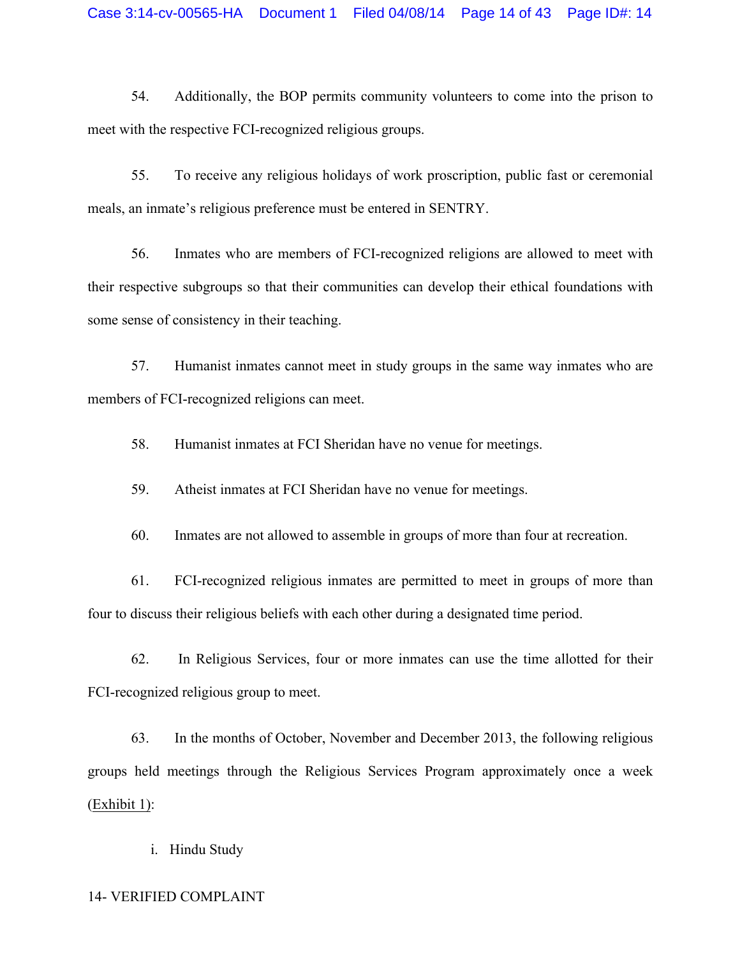54. Additionally, the BOP permits community volunteers to come into the prison to meet with the respective FCI-recognized religious groups.

55. To receive any religious holidays of work proscription, public fast or ceremonial meals, an inmate's religious preference must be entered in SENTRY.

56. Inmates who are members of FCI-recognized religions are allowed to meet with their respective subgroups so that their communities can develop their ethical foundations with some sense of consistency in their teaching.

57. Humanist inmates cannot meet in study groups in the same way inmates who are members of FCI-recognized religions can meet.

58. Humanist inmates at FCI Sheridan have no venue for meetings.

59. Atheist inmates at FCI Sheridan have no venue for meetings.

60. Inmates are not allowed to assemble in groups of more than four at recreation.

61. FCI-recognized religious inmates are permitted to meet in groups of more than four to discuss their religious beliefs with each other during a designated time period.

62. In Religious Services, four or more inmates can use the time allotted for their FCI-recognized religious group to meet.

63. In the months of October, November and December 2013, the following religious groups held meetings through the Religious Services Program approximately once a week (Exhibit 1):

i. Hindu Study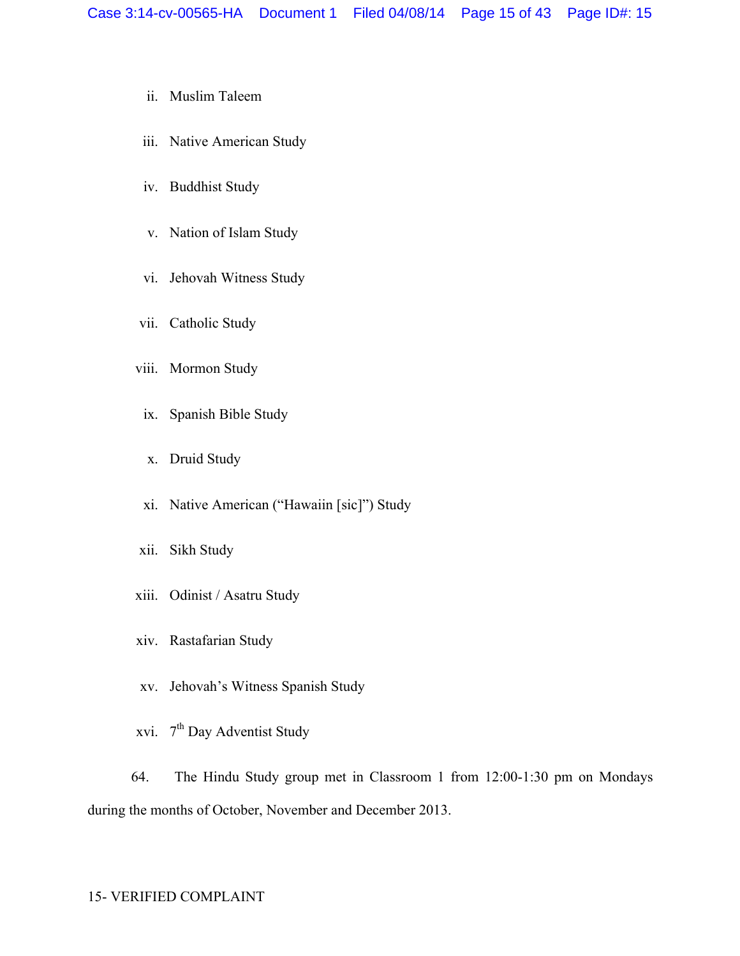- ii. Muslim Taleem
- iii. Native American Study
- iv. Buddhist Study
- v. Nation of Islam Study
- vi. Jehovah Witness Study
- vii. Catholic Study
- viii. Mormon Study
	- ix. Spanish Bible Study
	- x. Druid Study
- xi. Native American ("Hawaiin [sic]") Study
- xii. Sikh Study
- xiii. Odinist / Asatru Study
- xiv. Rastafarian Study
- xv. Jehovah's Witness Spanish Study
- xvi. 7<sup>th</sup> Day Adventist Study

64. The Hindu Study group met in Classroom 1 from 12:00-1:30 pm on Mondays during the months of October, November and December 2013.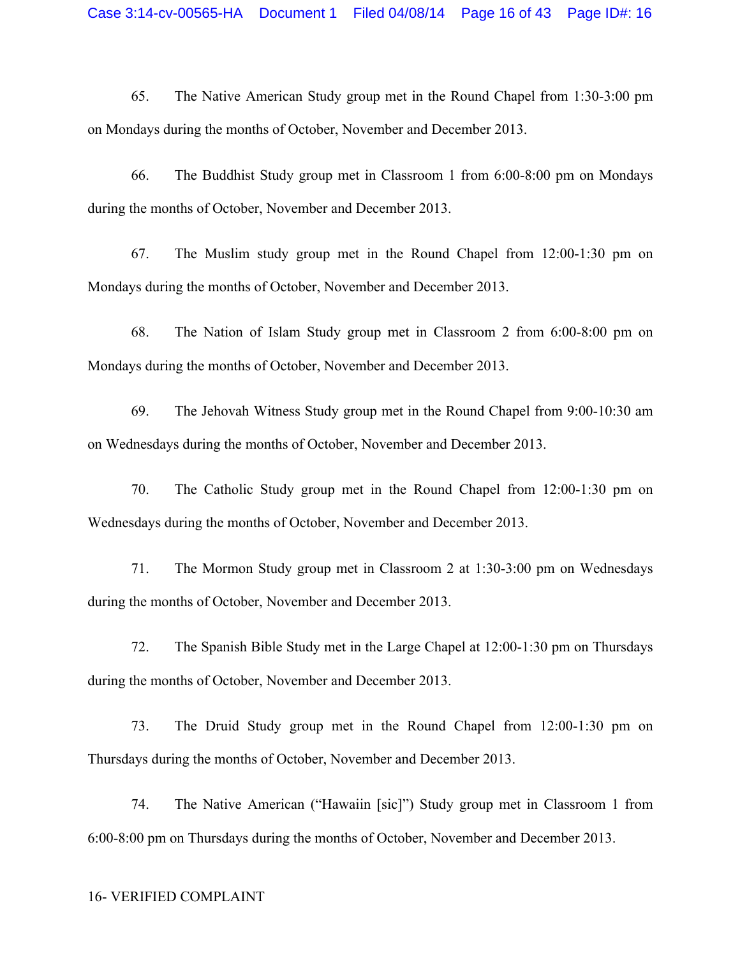65. The Native American Study group met in the Round Chapel from 1:30-3:00 pm on Mondays during the months of October, November and December 2013.

66. The Buddhist Study group met in Classroom 1 from 6:00-8:00 pm on Mondays during the months of October, November and December 2013.

67. The Muslim study group met in the Round Chapel from 12:00-1:30 pm on Mondays during the months of October, November and December 2013.

68. The Nation of Islam Study group met in Classroom 2 from 6:00-8:00 pm on Mondays during the months of October, November and December 2013.

69. The Jehovah Witness Study group met in the Round Chapel from 9:00-10:30 am on Wednesdays during the months of October, November and December 2013.

70. The Catholic Study group met in the Round Chapel from 12:00-1:30 pm on Wednesdays during the months of October, November and December 2013.

71. The Mormon Study group met in Classroom 2 at 1:30-3:00 pm on Wednesdays during the months of October, November and December 2013.

72. The Spanish Bible Study met in the Large Chapel at 12:00-1:30 pm on Thursdays during the months of October, November and December 2013.

73. The Druid Study group met in the Round Chapel from 12:00-1:30 pm on Thursdays during the months of October, November and December 2013.

74. The Native American ("Hawaiin [sic]") Study group met in Classroom 1 from 6:00-8:00 pm on Thursdays during the months of October, November and December 2013.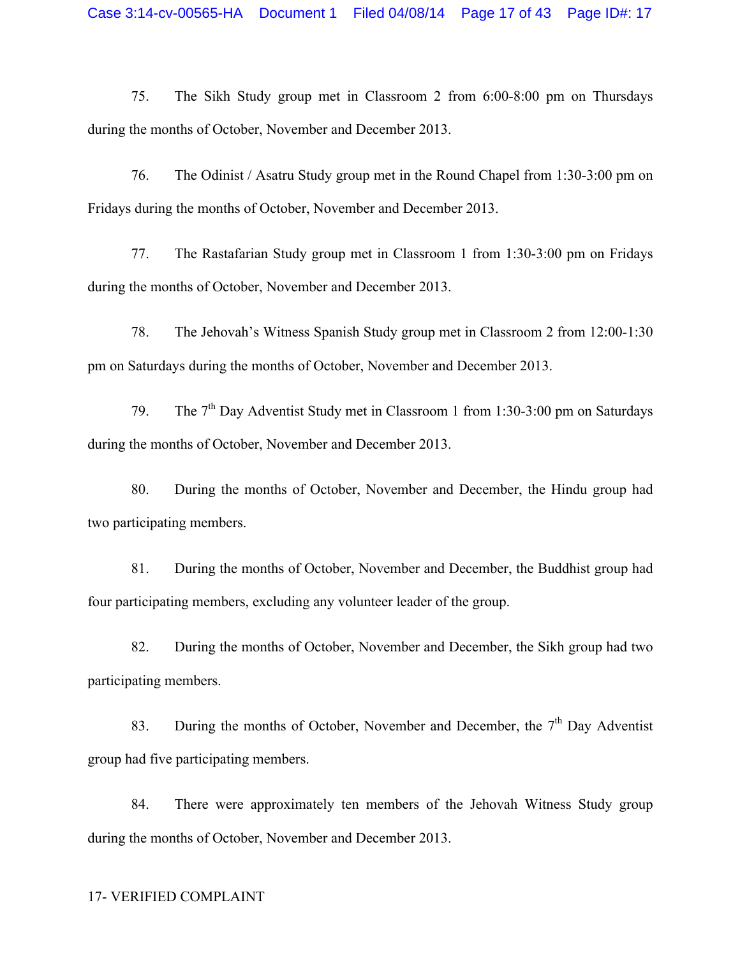75. The Sikh Study group met in Classroom 2 from 6:00-8:00 pm on Thursdays during the months of October, November and December 2013.

76. The Odinist / Asatru Study group met in the Round Chapel from 1:30-3:00 pm on Fridays during the months of October, November and December 2013.

77. The Rastafarian Study group met in Classroom 1 from 1:30-3:00 pm on Fridays during the months of October, November and December 2013.

78. The Jehovah's Witness Spanish Study group met in Classroom 2 from 12:00-1:30 pm on Saturdays during the months of October, November and December 2013.

79. The  $7<sup>th</sup>$  Day Adventist Study met in Classroom 1 from 1:30-3:00 pm on Saturdays during the months of October, November and December 2013.

80. During the months of October, November and December, the Hindu group had two participating members.

81. During the months of October, November and December, the Buddhist group had four participating members, excluding any volunteer leader of the group.

82. During the months of October, November and December, the Sikh group had two participating members.

83. During the months of October, November and December, the  $7<sup>th</sup>$  Day Adventist group had five participating members.

84. There were approximately ten members of the Jehovah Witness Study group during the months of October, November and December 2013.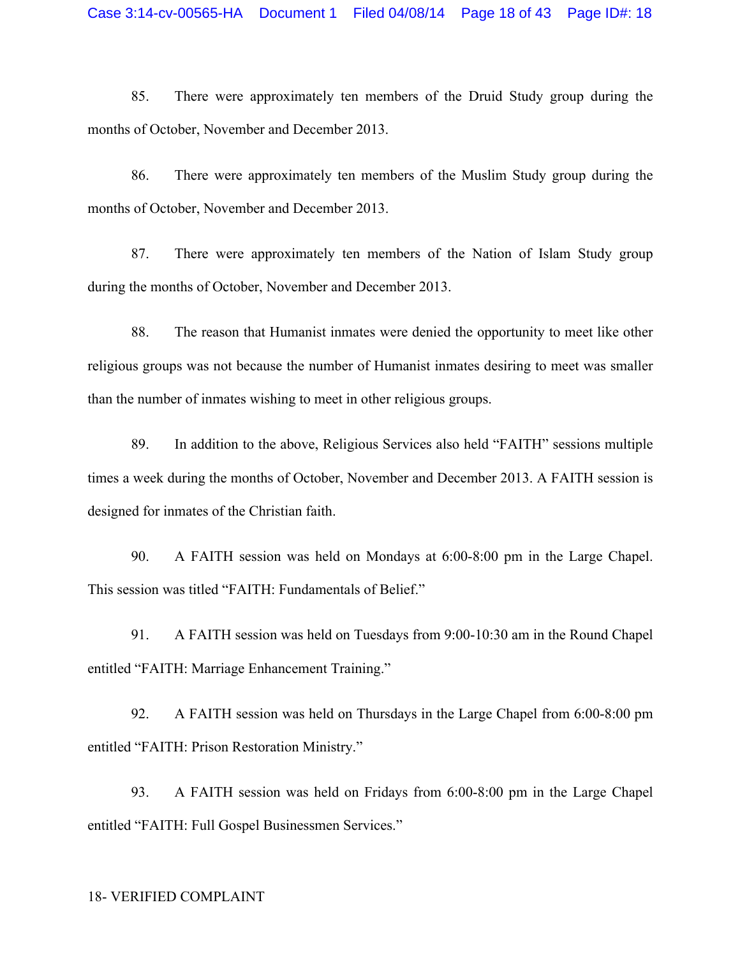85. There were approximately ten members of the Druid Study group during the months of October, November and December 2013.

86. There were approximately ten members of the Muslim Study group during the months of October, November and December 2013.

87. There were approximately ten members of the Nation of Islam Study group during the months of October, November and December 2013.

88. The reason that Humanist inmates were denied the opportunity to meet like other religious groups was not because the number of Humanist inmates desiring to meet was smaller than the number of inmates wishing to meet in other religious groups.

89. In addition to the above, Religious Services also held "FAITH" sessions multiple times a week during the months of October, November and December 2013. A FAITH session is designed for inmates of the Christian faith.

90. A FAITH session was held on Mondays at 6:00-8:00 pm in the Large Chapel. This session was titled "FAITH: Fundamentals of Belief."

91. A FAITH session was held on Tuesdays from 9:00-10:30 am in the Round Chapel entitled "FAITH: Marriage Enhancement Training."

92. A FAITH session was held on Thursdays in the Large Chapel from 6:00-8:00 pm entitled "FAITH: Prison Restoration Ministry."

93. A FAITH session was held on Fridays from 6:00-8:00 pm in the Large Chapel entitled "FAITH: Full Gospel Businessmen Services."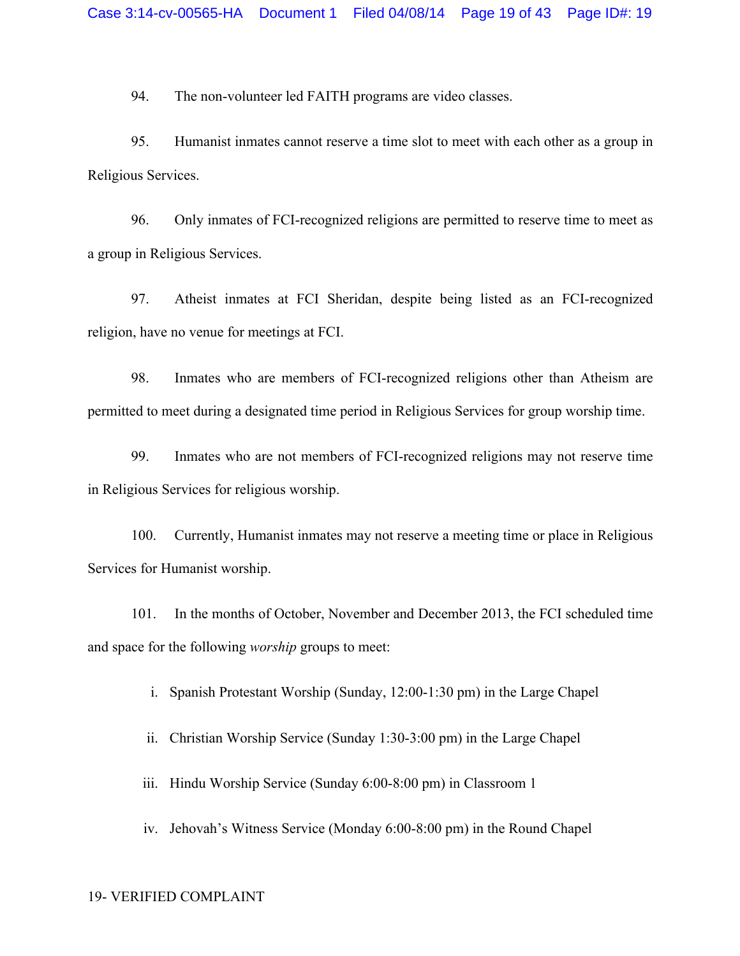94. The non-volunteer led FAITH programs are video classes.

95. Humanist inmates cannot reserve a time slot to meet with each other as a group in Religious Services.

96. Only inmates of FCI-recognized religions are permitted to reserve time to meet as a group in Religious Services.

97. Atheist inmates at FCI Sheridan, despite being listed as an FCI-recognized religion, have no venue for meetings at FCI.

98. Inmates who are members of FCI-recognized religions other than Atheism are permitted to meet during a designated time period in Religious Services for group worship time.

99. Inmates who are not members of FCI-recognized religions may not reserve time in Religious Services for religious worship.

100. Currently, Humanist inmates may not reserve a meeting time or place in Religious Services for Humanist worship.

101. In the months of October, November and December 2013, the FCI scheduled time and space for the following *worship* groups to meet:

i. Spanish Protestant Worship (Sunday, 12:00-1:30 pm) in the Large Chapel

ii. Christian Worship Service (Sunday 1:30-3:00 pm) in the Large Chapel

iii. Hindu Worship Service (Sunday 6:00-8:00 pm) in Classroom 1

iv. Jehovah's Witness Service (Monday 6:00-8:00 pm) in the Round Chapel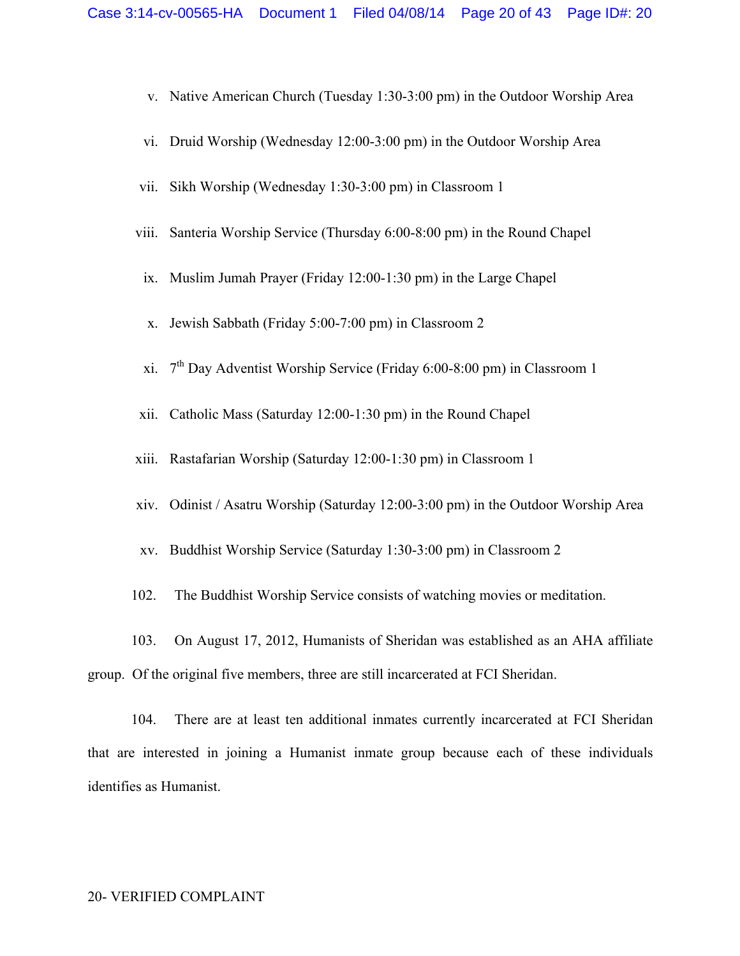- v. Native American Church (Tuesday 1:30-3:00 pm) in the Outdoor Worship Area
- vi. Druid Worship (Wednesday 12:00-3:00 pm) in the Outdoor Worship Area
- vii. Sikh Worship (Wednesday 1:30-3:00 pm) in Classroom 1
- viii. Santeria Worship Service (Thursday 6:00-8:00 pm) in the Round Chapel
- ix. Muslim Jumah Prayer (Friday 12:00-1:30 pm) in the Large Chapel
- x. Jewish Sabbath (Friday 5:00-7:00 pm) in Classroom 2
- xi. 7th Day Adventist Worship Service (Friday 6:00-8:00 pm) in Classroom 1
- xii. Catholic Mass (Saturday 12:00-1:30 pm) in the Round Chapel
- xiii. Rastafarian Worship (Saturday 12:00-1:30 pm) in Classroom 1
- xiv. Odinist / Asatru Worship (Saturday 12:00-3:00 pm) in the Outdoor Worship Area
- xv. Buddhist Worship Service (Saturday 1:30-3:00 pm) in Classroom 2
- 102. The Buddhist Worship Service consists of watching movies or meditation.

103. On August 17, 2012, Humanists of Sheridan was established as an AHA affiliate group. Of the original five members, three are still incarcerated at FCI Sheridan.

104. There are at least ten additional inmates currently incarcerated at FCI Sheridan that are interested in joining a Humanist inmate group because each of these individuals identifies as Humanist.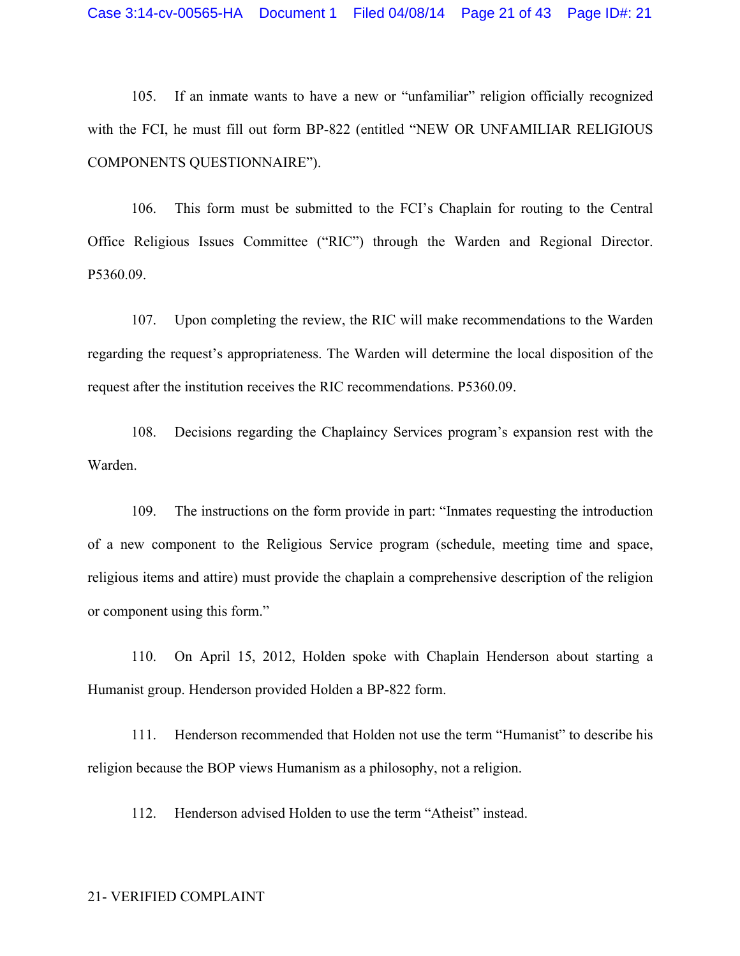105. If an inmate wants to have a new or "unfamiliar" religion officially recognized with the FCI, he must fill out form BP-822 (entitled "NEW OR UNFAMILIAR RELIGIOUS COMPONENTS QUESTIONNAIRE").

106. This form must be submitted to the FCI's Chaplain for routing to the Central Office Religious Issues Committee ("RIC") through the Warden and Regional Director. P5360.09.

107. Upon completing the review, the RIC will make recommendations to the Warden regarding the request's appropriateness. The Warden will determine the local disposition of the request after the institution receives the RIC recommendations. P5360.09.

108. Decisions regarding the Chaplaincy Services program's expansion rest with the Warden.

109. The instructions on the form provide in part: "Inmates requesting the introduction of a new component to the Religious Service program (schedule, meeting time and space, religious items and attire) must provide the chaplain a comprehensive description of the religion or component using this form."

110. On April 15, 2012, Holden spoke with Chaplain Henderson about starting a Humanist group. Henderson provided Holden a BP-822 form.

111. Henderson recommended that Holden not use the term "Humanist" to describe his religion because the BOP views Humanism as a philosophy, not a religion.

112. Henderson advised Holden to use the term "Atheist" instead.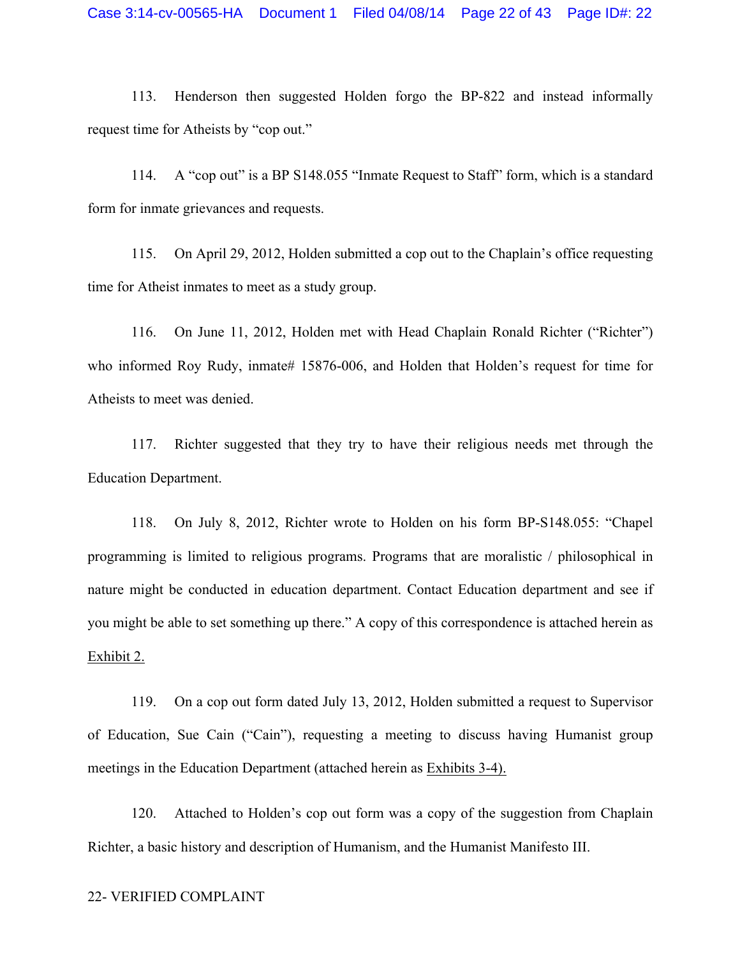113. Henderson then suggested Holden forgo the BP-822 and instead informally request time for Atheists by "cop out."

114. A "cop out" is a BP S148.055 "Inmate Request to Staff" form, which is a standard form for inmate grievances and requests.

115. On April 29, 2012, Holden submitted a cop out to the Chaplain's office requesting time for Atheist inmates to meet as a study group.

116. On June 11, 2012, Holden met with Head Chaplain Ronald Richter ("Richter") who informed Roy Rudy, inmate# 15876-006, and Holden that Holden's request for time for Atheists to meet was denied.

117. Richter suggested that they try to have their religious needs met through the Education Department.

118. On July 8, 2012, Richter wrote to Holden on his form BP-S148.055: "Chapel programming is limited to religious programs. Programs that are moralistic / philosophical in nature might be conducted in education department. Contact Education department and see if you might be able to set something up there." A copy of this correspondence is attached herein as Exhibit 2.

119. On a cop out form dated July 13, 2012, Holden submitted a request to Supervisor of Education, Sue Cain ("Cain"), requesting a meeting to discuss having Humanist group meetings in the Education Department (attached herein as Exhibits 3-4).

120. Attached to Holden's cop out form was a copy of the suggestion from Chaplain Richter, a basic history and description of Humanism, and the Humanist Manifesto III.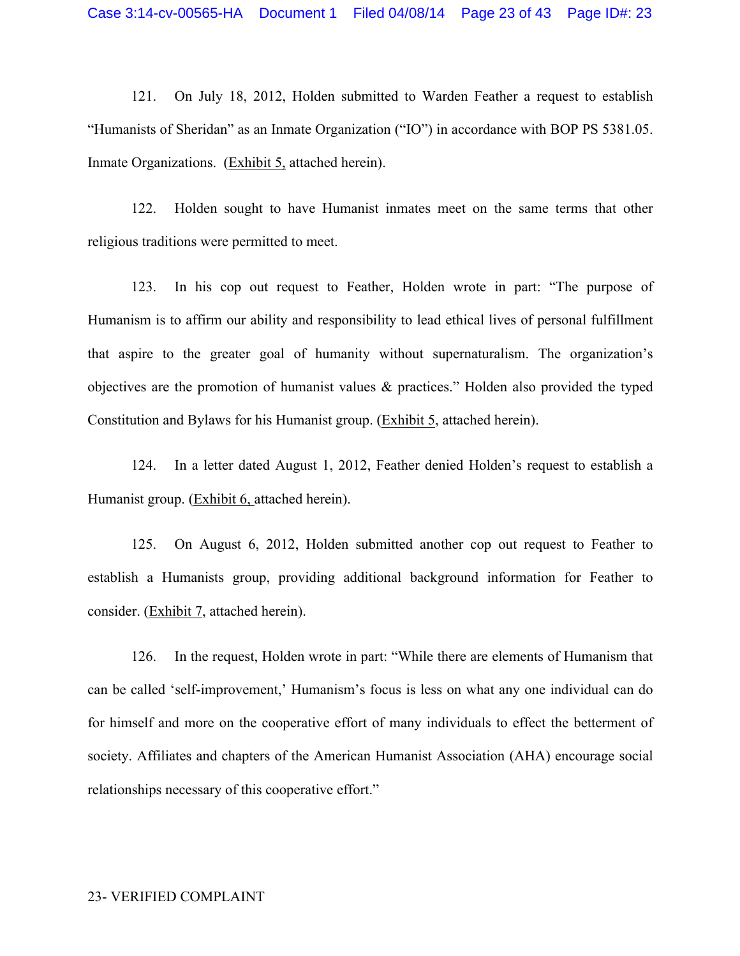121. On July 18, 2012, Holden submitted to Warden Feather a request to establish "Humanists of Sheridan" as an Inmate Organization ("IO") in accordance with BOP PS 5381.05. Inmate Organizations. (Exhibit 5, attached herein).

122. Holden sought to have Humanist inmates meet on the same terms that other religious traditions were permitted to meet.

123. In his cop out request to Feather, Holden wrote in part: "The purpose of Humanism is to affirm our ability and responsibility to lead ethical lives of personal fulfillment that aspire to the greater goal of humanity without supernaturalism. The organization's objectives are the promotion of humanist values & practices." Holden also provided the typed Constitution and Bylaws for his Humanist group. (Exhibit 5, attached herein).

124. In a letter dated August 1, 2012, Feather denied Holden's request to establish a Humanist group. (Exhibit 6, attached herein).

125. On August 6, 2012, Holden submitted another cop out request to Feather to establish a Humanists group, providing additional background information for Feather to consider. (Exhibit 7, attached herein).

126. In the request, Holden wrote in part: "While there are elements of Humanism that can be called 'self-improvement,' Humanism's focus is less on what any one individual can do for himself and more on the cooperative effort of many individuals to effect the betterment of society. Affiliates and chapters of the American Humanist Association (AHA) encourage social relationships necessary of this cooperative effort."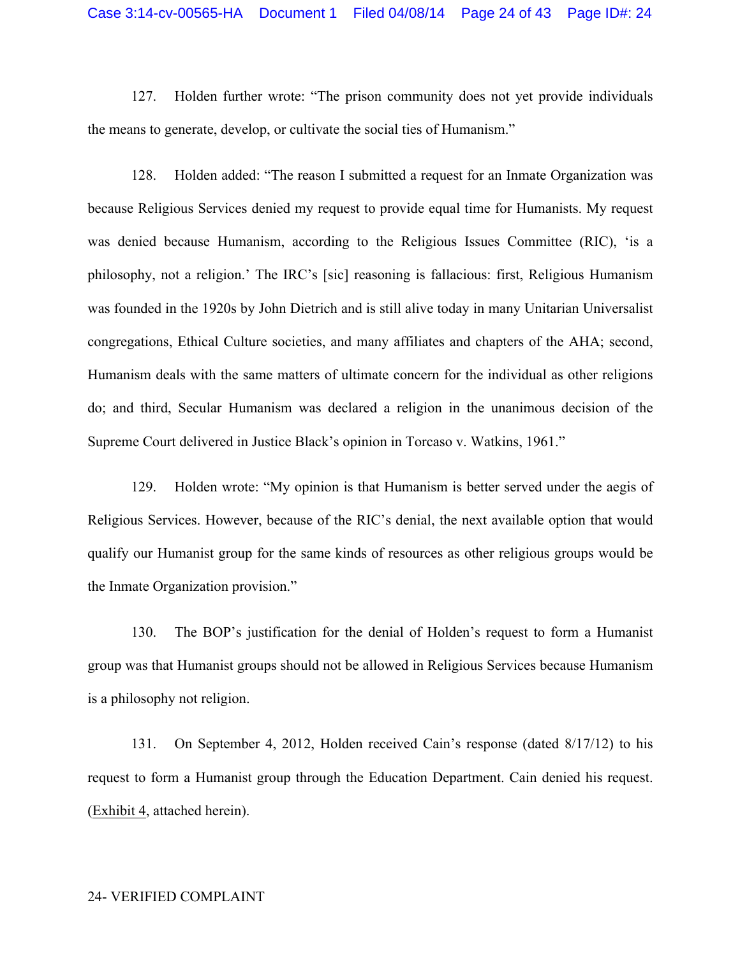127. Holden further wrote: "The prison community does not yet provide individuals the means to generate, develop, or cultivate the social ties of Humanism."

128. Holden added: "The reason I submitted a request for an Inmate Organization was because Religious Services denied my request to provide equal time for Humanists. My request was denied because Humanism, according to the Religious Issues Committee (RIC), 'is a philosophy, not a religion.' The IRC's [sic] reasoning is fallacious: first, Religious Humanism was founded in the 1920s by John Dietrich and is still alive today in many Unitarian Universalist congregations, Ethical Culture societies, and many affiliates and chapters of the AHA; second, Humanism deals with the same matters of ultimate concern for the individual as other religions do; and third, Secular Humanism was declared a religion in the unanimous decision of the Supreme Court delivered in Justice Black's opinion in Torcaso v. Watkins, 1961."

129. Holden wrote: "My opinion is that Humanism is better served under the aegis of Religious Services. However, because of the RIC's denial, the next available option that would qualify our Humanist group for the same kinds of resources as other religious groups would be the Inmate Organization provision."

130. The BOP's justification for the denial of Holden's request to form a Humanist group was that Humanist groups should not be allowed in Religious Services because Humanism is a philosophy not religion.

131. On September 4, 2012, Holden received Cain's response (dated 8/17/12) to his request to form a Humanist group through the Education Department. Cain denied his request. (Exhibit 4, attached herein).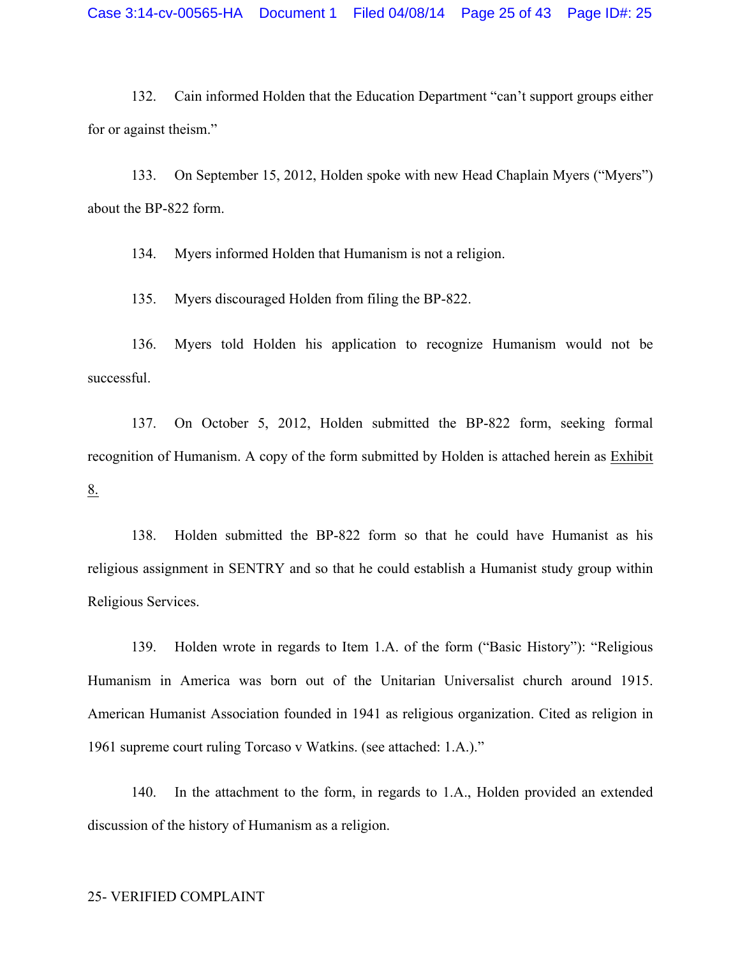132. Cain informed Holden that the Education Department "can't support groups either for or against theism."

133. On September 15, 2012, Holden spoke with new Head Chaplain Myers ("Myers") about the BP-822 form.

134. Myers informed Holden that Humanism is not a religion.

135. Myers discouraged Holden from filing the BP-822.

136. Myers told Holden his application to recognize Humanism would not be successful.

137. On October 5, 2012, Holden submitted the BP-822 form, seeking formal recognition of Humanism. A copy of the form submitted by Holden is attached herein as Exhibit 8.

138. Holden submitted the BP-822 form so that he could have Humanist as his religious assignment in SENTRY and so that he could establish a Humanist study group within Religious Services.

139. Holden wrote in regards to Item 1.A. of the form ("Basic History"): "Religious Humanism in America was born out of the Unitarian Universalist church around 1915. American Humanist Association founded in 1941 as religious organization. Cited as religion in 1961 supreme court ruling Torcaso v Watkins. (see attached: 1.A.)."

140. In the attachment to the form, in regards to 1.A., Holden provided an extended discussion of the history of Humanism as a religion.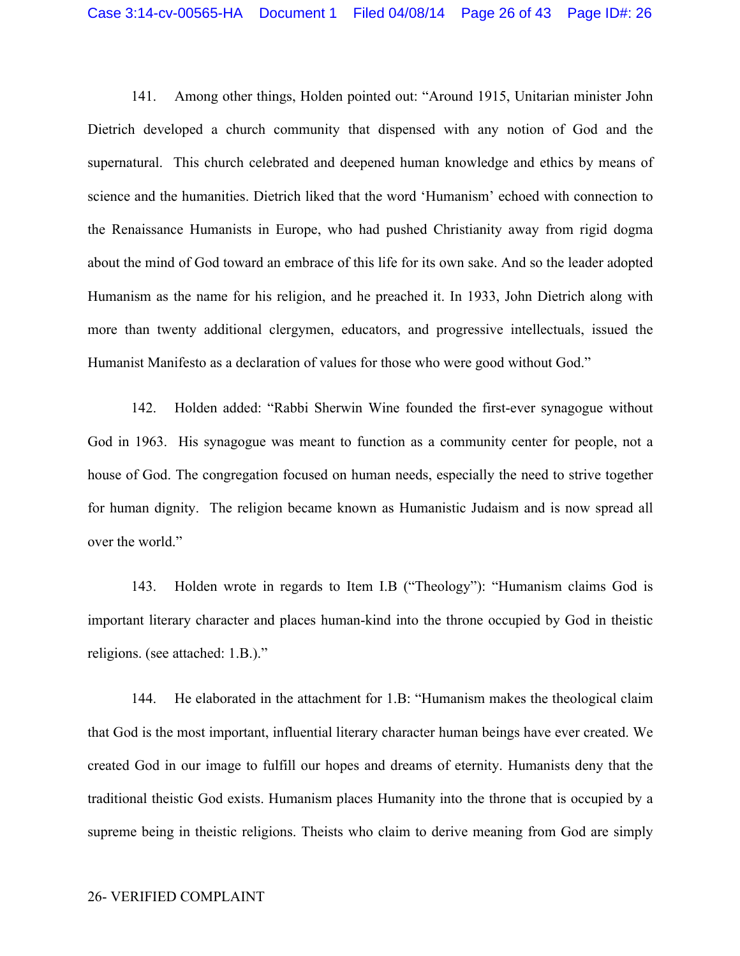141. Among other things, Holden pointed out: "Around 1915, Unitarian minister John Dietrich developed a church community that dispensed with any notion of God and the supernatural. This church celebrated and deepened human knowledge and ethics by means of science and the humanities. Dietrich liked that the word 'Humanism' echoed with connection to the Renaissance Humanists in Europe, who had pushed Christianity away from rigid dogma about the mind of God toward an embrace of this life for its own sake. And so the leader adopted Humanism as the name for his religion, and he preached it. In 1933, John Dietrich along with more than twenty additional clergymen, educators, and progressive intellectuals, issued the Humanist Manifesto as a declaration of values for those who were good without God."

142. Holden added: "Rabbi Sherwin Wine founded the first-ever synagogue without God in 1963. His synagogue was meant to function as a community center for people, not a house of God. The congregation focused on human needs, especially the need to strive together for human dignity. The religion became known as Humanistic Judaism and is now spread all over the world."

143. Holden wrote in regards to Item I.B ("Theology"): "Humanism claims God is important literary character and places human-kind into the throne occupied by God in theistic religions. (see attached: 1.B.)."

144. He elaborated in the attachment for 1.B: "Humanism makes the theological claim that God is the most important, influential literary character human beings have ever created. We created God in our image to fulfill our hopes and dreams of eternity. Humanists deny that the traditional theistic God exists. Humanism places Humanity into the throne that is occupied by a supreme being in theistic religions. Theists who claim to derive meaning from God are simply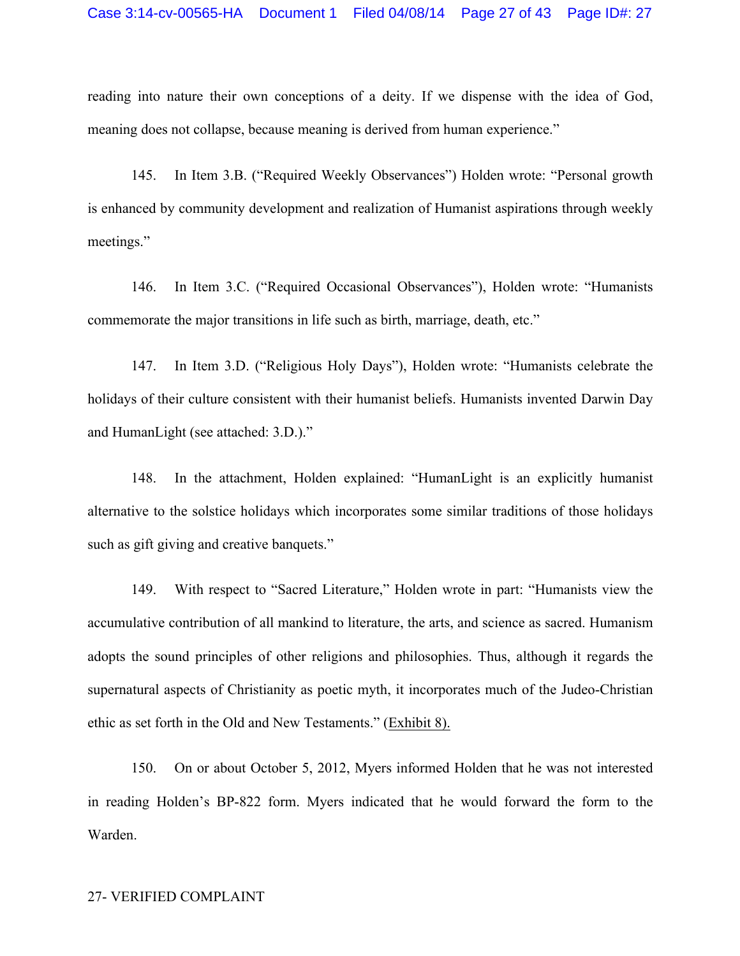reading into nature their own conceptions of a deity. If we dispense with the idea of God, meaning does not collapse, because meaning is derived from human experience."

145. In Item 3.B. ("Required Weekly Observances") Holden wrote: "Personal growth is enhanced by community development and realization of Humanist aspirations through weekly meetings."

146. In Item 3.C. ("Required Occasional Observances"), Holden wrote: "Humanists commemorate the major transitions in life such as birth, marriage, death, etc."

147. In Item 3.D. ("Religious Holy Days"), Holden wrote: "Humanists celebrate the holidays of their culture consistent with their humanist beliefs. Humanists invented Darwin Day and HumanLight (see attached: 3.D.)."

148. In the attachment, Holden explained: "HumanLight is an explicitly humanist alternative to the solstice holidays which incorporates some similar traditions of those holidays such as gift giving and creative banquets."

149. With respect to "Sacred Literature," Holden wrote in part: "Humanists view the accumulative contribution of all mankind to literature, the arts, and science as sacred. Humanism adopts the sound principles of other religions and philosophies. Thus, although it regards the supernatural aspects of Christianity as poetic myth, it incorporates much of the Judeo-Christian ethic as set forth in the Old and New Testaments." (Exhibit 8).

150. On or about October 5, 2012, Myers informed Holden that he was not interested in reading Holden's BP-822 form. Myers indicated that he would forward the form to the Warden.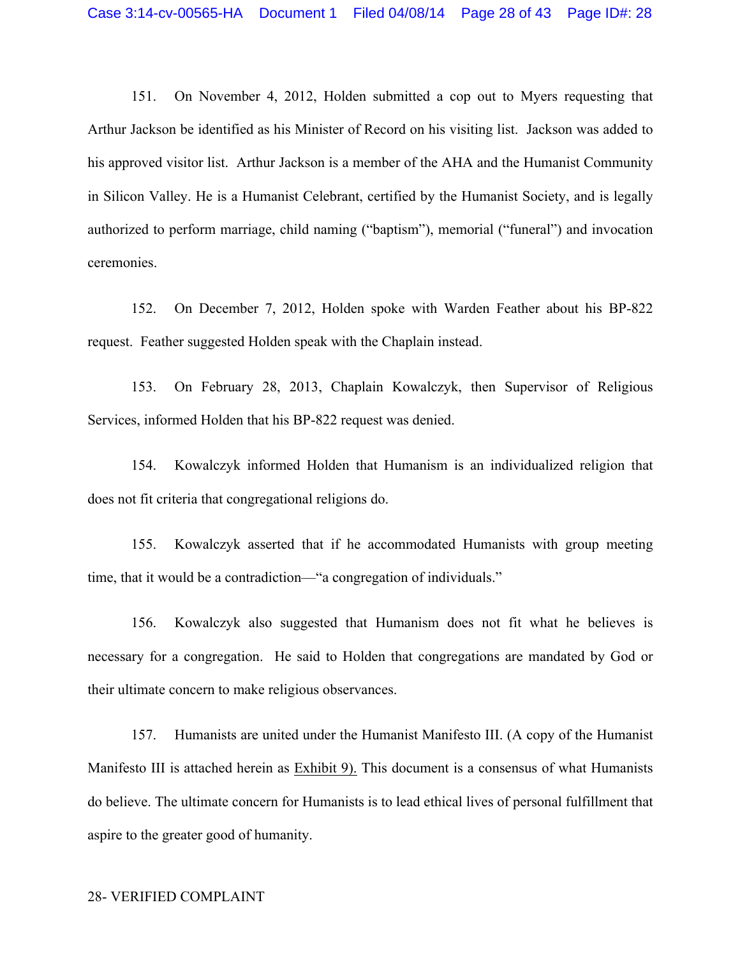151. On November 4, 2012, Holden submitted a cop out to Myers requesting that Arthur Jackson be identified as his Minister of Record on his visiting list. Jackson was added to his approved visitor list. Arthur Jackson is a member of the AHA and the Humanist Community in Silicon Valley. He is a Humanist Celebrant, certified by the Humanist Society, and is legally authorized to perform marriage, child naming ("baptism"), memorial ("funeral") and invocation ceremonies.

152. On December 7, 2012, Holden spoke with Warden Feather about his BP-822 request. Feather suggested Holden speak with the Chaplain instead.

153. On February 28, 2013, Chaplain Kowalczyk, then Supervisor of Religious Services, informed Holden that his BP-822 request was denied.

154. Kowalczyk informed Holden that Humanism is an individualized religion that does not fit criteria that congregational religions do.

155. Kowalczyk asserted that if he accommodated Humanists with group meeting time, that it would be a contradiction—"a congregation of individuals."

156. Kowalczyk also suggested that Humanism does not fit what he believes is necessary for a congregation. He said to Holden that congregations are mandated by God or their ultimate concern to make religious observances.

157. Humanists are united under the Humanist Manifesto III. (A copy of the Humanist Manifesto III is attached herein as Exhibit 9). This document is a consensus of what Humanists do believe. The ultimate concern for Humanists is to lead ethical lives of personal fulfillment that aspire to the greater good of humanity.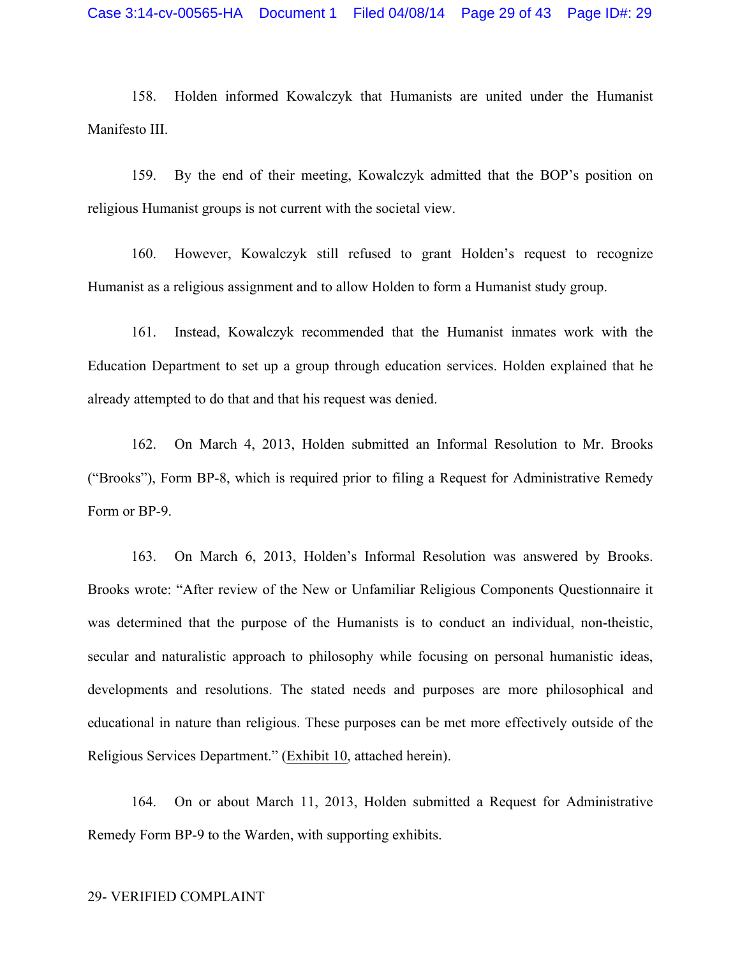158. Holden informed Kowalczyk that Humanists are united under the Humanist Manifesto III.

159. By the end of their meeting, Kowalczyk admitted that the BOP's position on religious Humanist groups is not current with the societal view.

160. However, Kowalczyk still refused to grant Holden's request to recognize Humanist as a religious assignment and to allow Holden to form a Humanist study group.

161. Instead, Kowalczyk recommended that the Humanist inmates work with the Education Department to set up a group through education services. Holden explained that he already attempted to do that and that his request was denied.

162. On March 4, 2013, Holden submitted an Informal Resolution to Mr. Brooks ("Brooks"), Form BP-8, which is required prior to filing a Request for Administrative Remedy Form or BP-9.

163. On March 6, 2013, Holden's Informal Resolution was answered by Brooks. Brooks wrote: "After review of the New or Unfamiliar Religious Components Questionnaire it was determined that the purpose of the Humanists is to conduct an individual, non-theistic, secular and naturalistic approach to philosophy while focusing on personal humanistic ideas, developments and resolutions. The stated needs and purposes are more philosophical and educational in nature than religious. These purposes can be met more effectively outside of the Religious Services Department." (Exhibit 10, attached herein).

164. On or about March 11, 2013, Holden submitted a Request for Administrative Remedy Form BP-9 to the Warden, with supporting exhibits.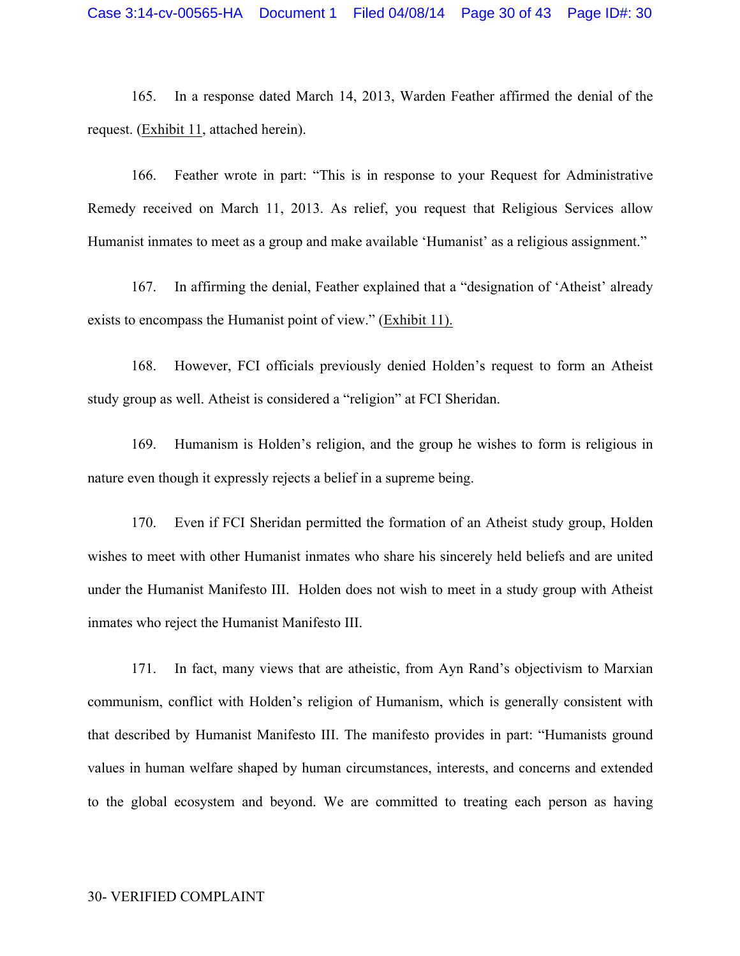165. In a response dated March 14, 2013, Warden Feather affirmed the denial of the request. (Exhibit 11, attached herein).

166. Feather wrote in part: "This is in response to your Request for Administrative Remedy received on March 11, 2013. As relief, you request that Religious Services allow Humanist inmates to meet as a group and make available 'Humanist' as a religious assignment."

167. In affirming the denial, Feather explained that a "designation of 'Atheist' already exists to encompass the Humanist point of view." (Exhibit 11).

168. However, FCI officials previously denied Holden's request to form an Atheist study group as well. Atheist is considered a "religion" at FCI Sheridan.

169. Humanism is Holden's religion, and the group he wishes to form is religious in nature even though it expressly rejects a belief in a supreme being.

170. Even if FCI Sheridan permitted the formation of an Atheist study group, Holden wishes to meet with other Humanist inmates who share his sincerely held beliefs and are united under the Humanist Manifesto III. Holden does not wish to meet in a study group with Atheist inmates who reject the Humanist Manifesto III.

171. In fact, many views that are atheistic, from Ayn Rand's objectivism to Marxian communism, conflict with Holden's religion of Humanism, which is generally consistent with that described by Humanist Manifesto III. The manifesto provides in part: "Humanists ground values in human welfare shaped by human circumstances, interests, and concerns and extended to the global ecosystem and beyond. We are committed to treating each person as having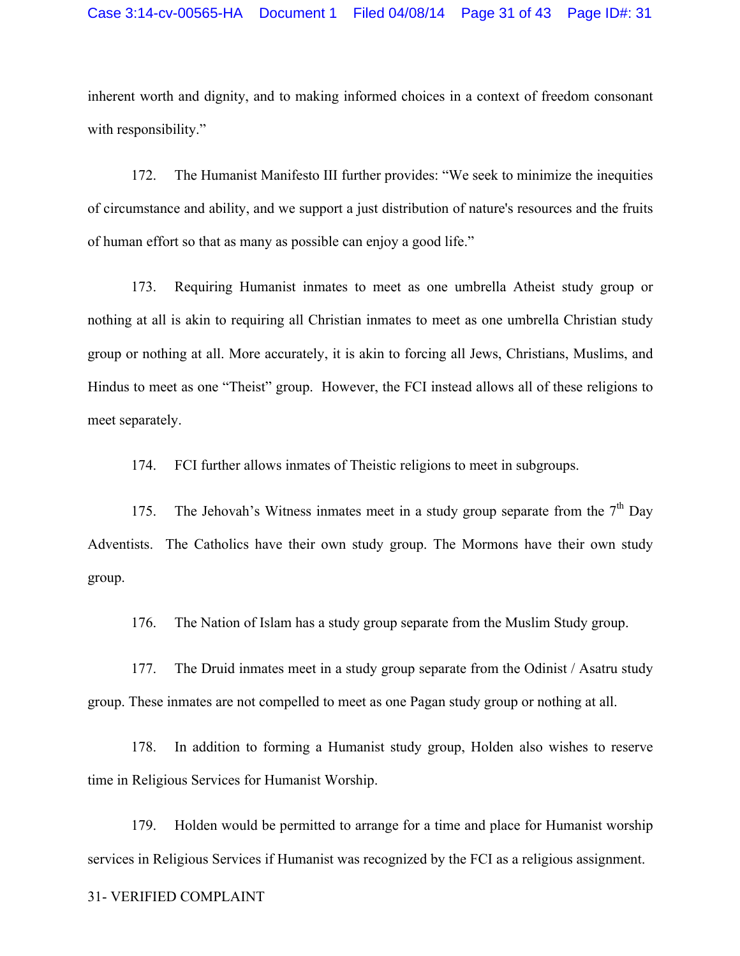inherent worth and dignity, and to making informed choices in a context of freedom consonant with responsibility."

172. The Humanist Manifesto III further provides: "We seek to minimize the inequities of circumstance and ability, and we support a just distribution of nature's resources and the fruits of human effort so that as many as possible can enjoy a good life."

173. Requiring Humanist inmates to meet as one umbrella Atheist study group or nothing at all is akin to requiring all Christian inmates to meet as one umbrella Christian study group or nothing at all. More accurately, it is akin to forcing all Jews, Christians, Muslims, and Hindus to meet as one "Theist" group. However, the FCI instead allows all of these religions to meet separately.

174. FCI further allows inmates of Theistic religions to meet in subgroups.

175. The Jehovah's Witness inmates meet in a study group separate from the  $7<sup>th</sup>$  Day Adventists. The Catholics have their own study group. The Mormons have their own study group.

176. The Nation of Islam has a study group separate from the Muslim Study group.

177. The Druid inmates meet in a study group separate from the Odinist / Asatru study group. These inmates are not compelled to meet as one Pagan study group or nothing at all.

178. In addition to forming a Humanist study group, Holden also wishes to reserve time in Religious Services for Humanist Worship.

179. Holden would be permitted to arrange for a time and place for Humanist worship services in Religious Services if Humanist was recognized by the FCI as a religious assignment.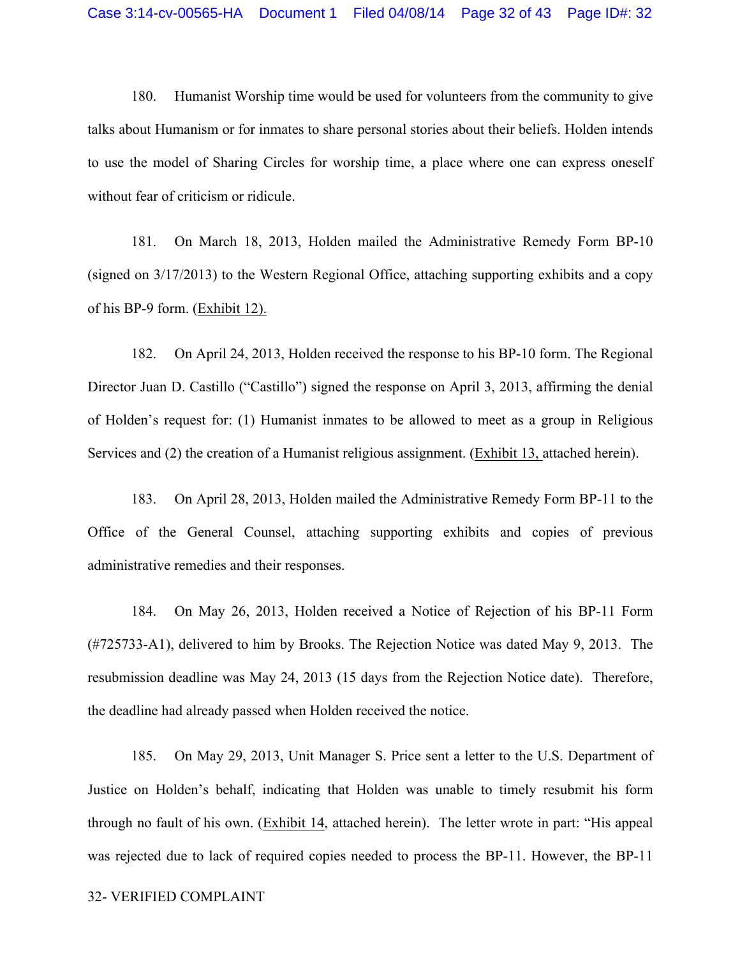180. Humanist Worship time would be used for volunteers from the community to give talks about Humanism or for inmates to share personal stories about their beliefs. Holden intends to use the model of Sharing Circles for worship time, a place where one can express oneself without fear of criticism or ridicule.

181. On March 18, 2013, Holden mailed the Administrative Remedy Form BP-10 (signed on 3/17/2013) to the Western Regional Office, attaching supporting exhibits and a copy of his BP-9 form. (Exhibit 12).

182. On April 24, 2013, Holden received the response to his BP-10 form. The Regional Director Juan D. Castillo ("Castillo") signed the response on April 3, 2013, affirming the denial of Holden's request for: (1) Humanist inmates to be allowed to meet as a group in Religious Services and (2) the creation of a Humanist religious assignment. (Exhibit 13, attached herein).

183. On April 28, 2013, Holden mailed the Administrative Remedy Form BP-11 to the Office of the General Counsel, attaching supporting exhibits and copies of previous administrative remedies and their responses.

184. On May 26, 2013, Holden received a Notice of Rejection of his BP-11 Form (#725733-A1), delivered to him by Brooks. The Rejection Notice was dated May 9, 2013. The resubmission deadline was May 24, 2013 (15 days from the Rejection Notice date). Therefore, the deadline had already passed when Holden received the notice.

185. On May 29, 2013, Unit Manager S. Price sent a letter to the U.S. Department of Justice on Holden's behalf, indicating that Holden was unable to timely resubmit his form through no fault of his own. (Exhibit 14, attached herein). The letter wrote in part: "His appeal was rejected due to lack of required copies needed to process the BP-11. However, the BP-11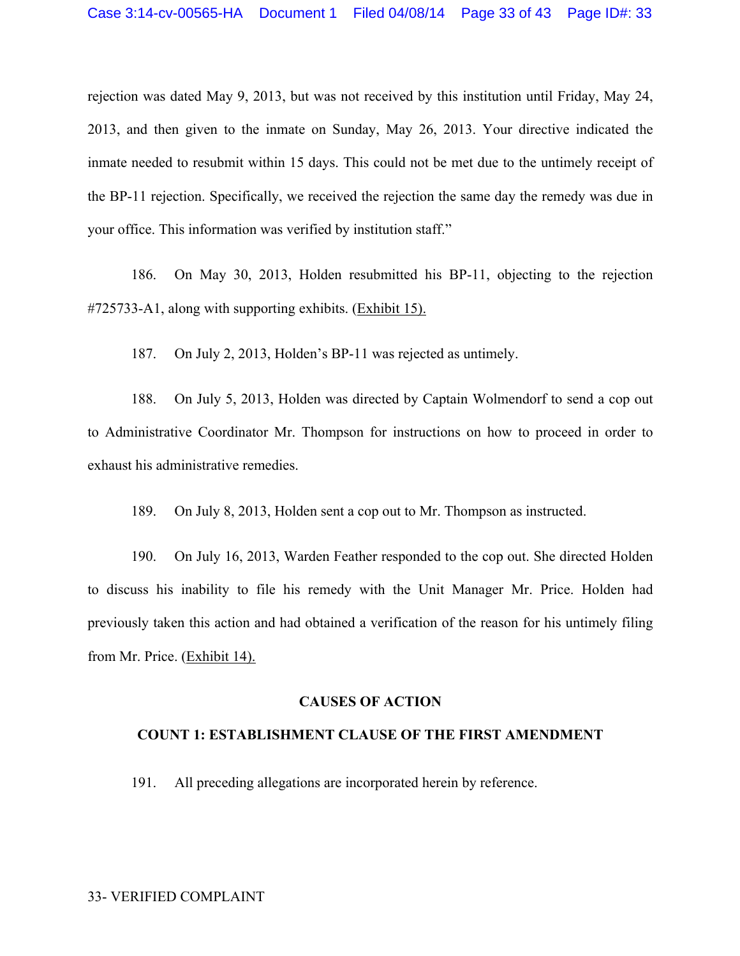rejection was dated May 9, 2013, but was not received by this institution until Friday, May 24, 2013, and then given to the inmate on Sunday, May 26, 2013. Your directive indicated the inmate needed to resubmit within 15 days. This could not be met due to the untimely receipt of the BP-11 rejection. Specifically, we received the rejection the same day the remedy was due in your office. This information was verified by institution staff."

186. On May 30, 2013, Holden resubmitted his BP-11, objecting to the rejection #725733-A1, along with supporting exhibits. (Exhibit 15).

187. On July 2, 2013, Holden's BP-11 was rejected as untimely.

188. On July 5, 2013, Holden was directed by Captain Wolmendorf to send a cop out to Administrative Coordinator Mr. Thompson for instructions on how to proceed in order to exhaust his administrative remedies.

189. On July 8, 2013, Holden sent a cop out to Mr. Thompson as instructed.

190. On July 16, 2013, Warden Feather responded to the cop out. She directed Holden to discuss his inability to file his remedy with the Unit Manager Mr. Price. Holden had previously taken this action and had obtained a verification of the reason for his untimely filing from Mr. Price. (Exhibit 14).

#### **CAUSES OF ACTION**

#### **COUNT 1: ESTABLISHMENT CLAUSE OF THE FIRST AMENDMENT**

191. All preceding allegations are incorporated herein by reference.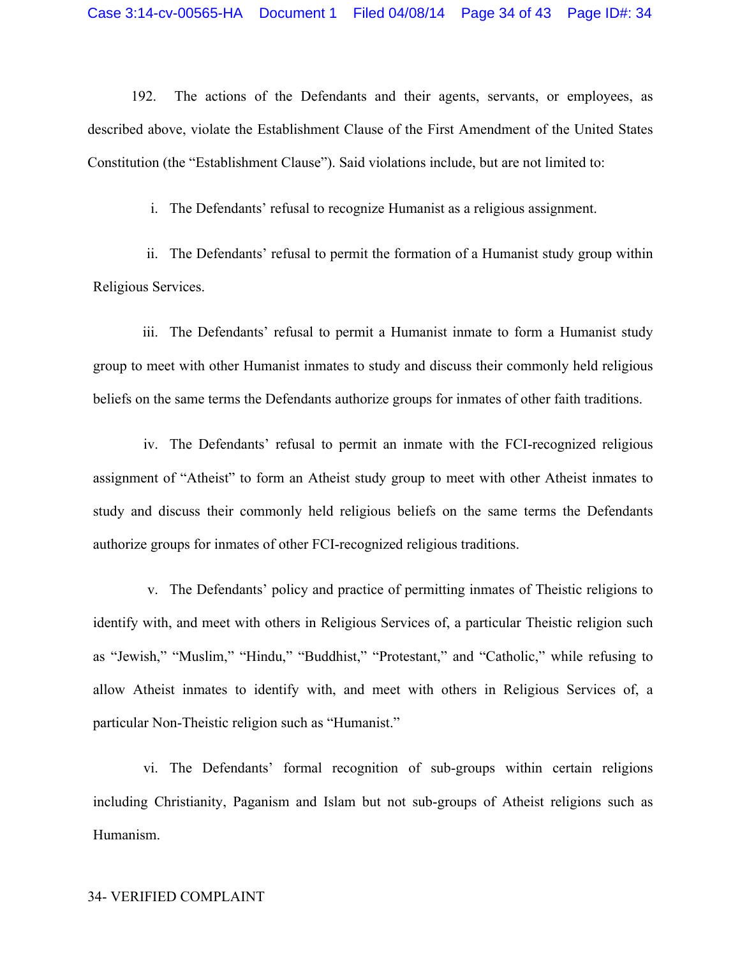192. The actions of the Defendants and their agents, servants, or employees, as described above, violate the Establishment Clause of the First Amendment of the United States Constitution (the "Establishment Clause"). Said violations include, but are not limited to:

i. The Defendants' refusal to recognize Humanist as a religious assignment.

ii. The Defendants' refusal to permit the formation of a Humanist study group within Religious Services.

iii. The Defendants' refusal to permit a Humanist inmate to form a Humanist study group to meet with other Humanist inmates to study and discuss their commonly held religious beliefs on the same terms the Defendants authorize groups for inmates of other faith traditions.

iv. The Defendants' refusal to permit an inmate with the FCI-recognized religious assignment of "Atheist" to form an Atheist study group to meet with other Atheist inmates to study and discuss their commonly held religious beliefs on the same terms the Defendants authorize groups for inmates of other FCI-recognized religious traditions.

v. The Defendants' policy and practice of permitting inmates of Theistic religions to identify with, and meet with others in Religious Services of, a particular Theistic religion such as "Jewish," "Muslim," "Hindu," "Buddhist," "Protestant," and "Catholic," while refusing to allow Atheist inmates to identify with, and meet with others in Religious Services of, a particular Non-Theistic religion such as "Humanist."

vi. The Defendants' formal recognition of sub-groups within certain religions including Christianity, Paganism and Islam but not sub-groups of Atheist religions such as Humanism.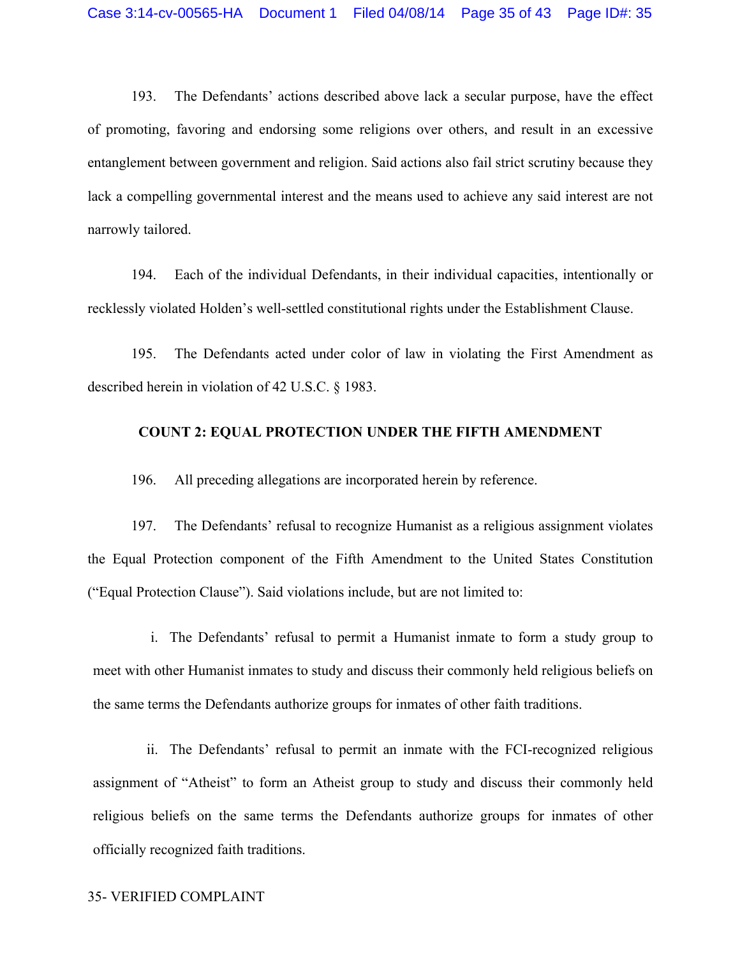193. The Defendants' actions described above lack a secular purpose, have the effect of promoting, favoring and endorsing some religions over others, and result in an excessive entanglement between government and religion. Said actions also fail strict scrutiny because they lack a compelling governmental interest and the means used to achieve any said interest are not narrowly tailored.

194. Each of the individual Defendants, in their individual capacities, intentionally or recklessly violated Holden's well-settled constitutional rights under the Establishment Clause.

195. The Defendants acted under color of law in violating the First Amendment as described herein in violation of 42 U.S.C. § 1983.

### **COUNT 2: EQUAL PROTECTION UNDER THE FIFTH AMENDMENT**

196. All preceding allegations are incorporated herein by reference.

197. The Defendants' refusal to recognize Humanist as a religious assignment violates the Equal Protection component of the Fifth Amendment to the United States Constitution ("Equal Protection Clause"). Said violations include, but are not limited to:

i. The Defendants' refusal to permit a Humanist inmate to form a study group to meet with other Humanist inmates to study and discuss their commonly held religious beliefs on the same terms the Defendants authorize groups for inmates of other faith traditions.

ii. The Defendants' refusal to permit an inmate with the FCI-recognized religious assignment of "Atheist" to form an Atheist group to study and discuss their commonly held religious beliefs on the same terms the Defendants authorize groups for inmates of other officially recognized faith traditions.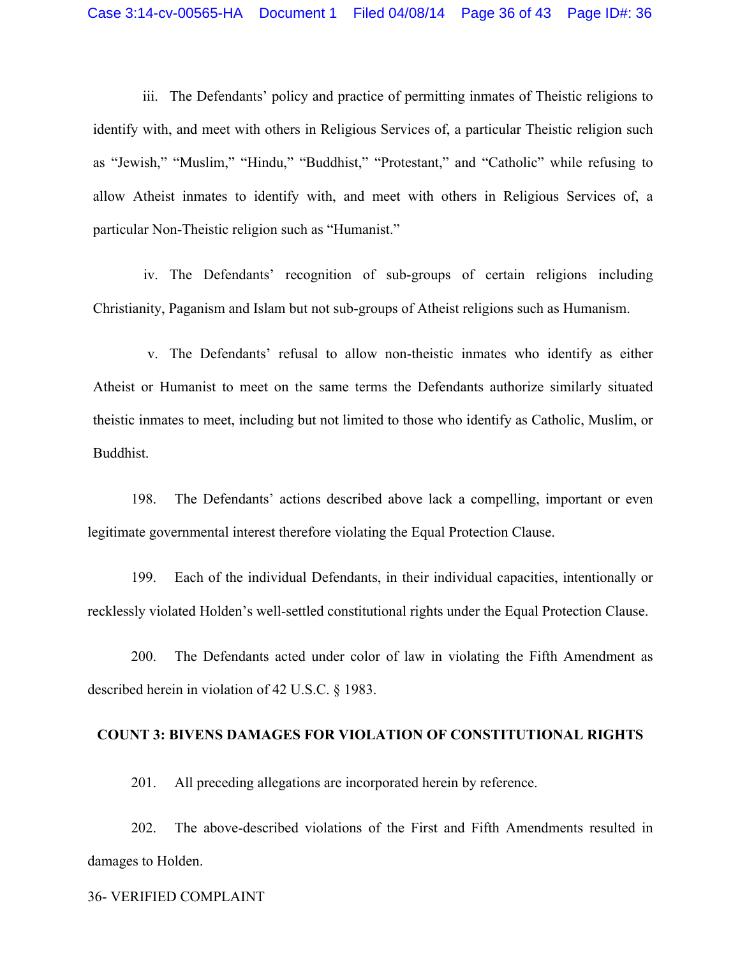iii. The Defendants' policy and practice of permitting inmates of Theistic religions to identify with, and meet with others in Religious Services of, a particular Theistic religion such as "Jewish," "Muslim," "Hindu," "Buddhist," "Protestant," and "Catholic" while refusing to allow Atheist inmates to identify with, and meet with others in Religious Services of, a particular Non-Theistic religion such as "Humanist."

iv. The Defendants' recognition of sub-groups of certain religions including Christianity, Paganism and Islam but not sub-groups of Atheist religions such as Humanism.

v. The Defendants' refusal to allow non-theistic inmates who identify as either Atheist or Humanist to meet on the same terms the Defendants authorize similarly situated theistic inmates to meet, including but not limited to those who identify as Catholic, Muslim, or Buddhist.

198. The Defendants' actions described above lack a compelling, important or even legitimate governmental interest therefore violating the Equal Protection Clause.

199. Each of the individual Defendants, in their individual capacities, intentionally or recklessly violated Holden's well-settled constitutional rights under the Equal Protection Clause.

200. The Defendants acted under color of law in violating the Fifth Amendment as described herein in violation of 42 U.S.C. § 1983.

#### **COUNT 3: BIVENS DAMAGES FOR VIOLATION OF CONSTITUTIONAL RIGHTS**

201. All preceding allegations are incorporated herein by reference.

202. The above-described violations of the First and Fifth Amendments resulted in damages to Holden.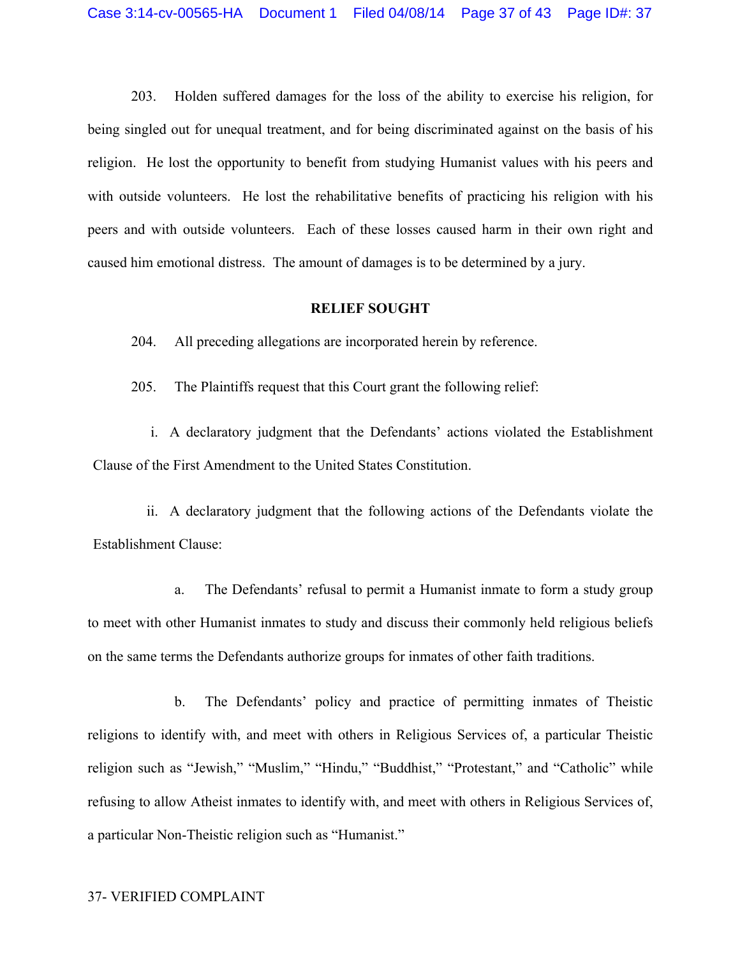203. Holden suffered damages for the loss of the ability to exercise his religion, for being singled out for unequal treatment, and for being discriminated against on the basis of his religion. He lost the opportunity to benefit from studying Humanist values with his peers and with outside volunteers. He lost the rehabilitative benefits of practicing his religion with his peers and with outside volunteers. Each of these losses caused harm in their own right and caused him emotional distress. The amount of damages is to be determined by a jury.

## **RELIEF SOUGHT**

204. All preceding allegations are incorporated herein by reference.

205. The Plaintiffs request that this Court grant the following relief:

i. A declaratory judgment that the Defendants' actions violated the Establishment Clause of the First Amendment to the United States Constitution.

ii. A declaratory judgment that the following actions of the Defendants violate the Establishment Clause:

a. The Defendants' refusal to permit a Humanist inmate to form a study group to meet with other Humanist inmates to study and discuss their commonly held religious beliefs on the same terms the Defendants authorize groups for inmates of other faith traditions.

b. The Defendants' policy and practice of permitting inmates of Theistic religions to identify with, and meet with others in Religious Services of, a particular Theistic religion such as "Jewish," "Muslim," "Hindu," "Buddhist," "Protestant," and "Catholic" while refusing to allow Atheist inmates to identify with, and meet with others in Religious Services of, a particular Non-Theistic religion such as "Humanist."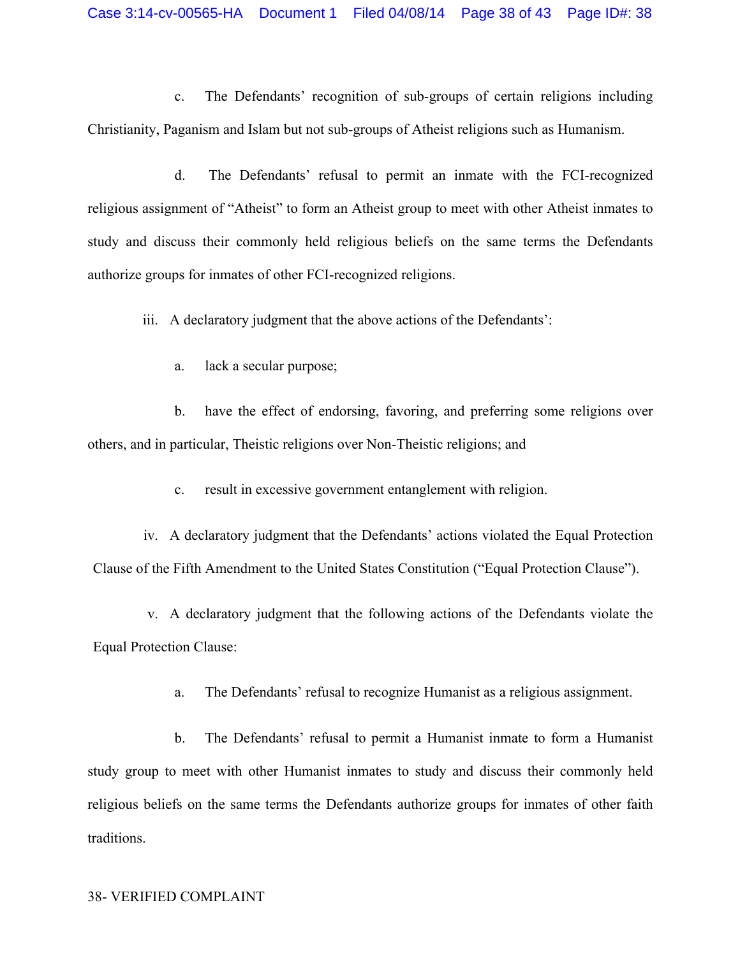c. The Defendants' recognition of sub-groups of certain religions including Christianity, Paganism and Islam but not sub-groups of Atheist religions such as Humanism.

d. The Defendants' refusal to permit an inmate with the FCI-recognized religious assignment of "Atheist" to form an Atheist group to meet with other Atheist inmates to study and discuss their commonly held religious beliefs on the same terms the Defendants authorize groups for inmates of other FCI-recognized religions.

iii. A declaratory judgment that the above actions of the Defendants':

a. lack a secular purpose;

b. have the effect of endorsing, favoring, and preferring some religions over others, and in particular, Theistic religions over Non-Theistic religions; and

c. result in excessive government entanglement with religion.

iv. A declaratory judgment that the Defendants' actions violated the Equal Protection Clause of the Fifth Amendment to the United States Constitution ("Equal Protection Clause").

v. A declaratory judgment that the following actions of the Defendants violate the Equal Protection Clause:

a. The Defendants' refusal to recognize Humanist as a religious assignment.

b. The Defendants' refusal to permit a Humanist inmate to form a Humanist study group to meet with other Humanist inmates to study and discuss their commonly held religious beliefs on the same terms the Defendants authorize groups for inmates of other faith traditions.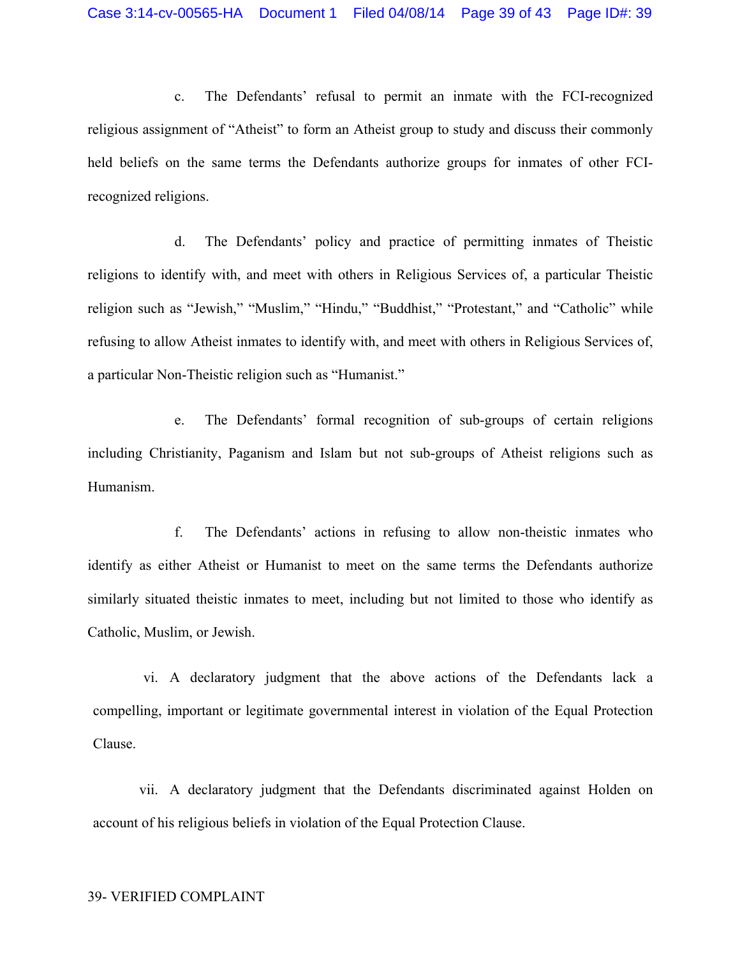c. The Defendants' refusal to permit an inmate with the FCI-recognized religious assignment of "Atheist" to form an Atheist group to study and discuss their commonly held beliefs on the same terms the Defendants authorize groups for inmates of other FCIrecognized religions.

d. The Defendants' policy and practice of permitting inmates of Theistic religions to identify with, and meet with others in Religious Services of, a particular Theistic religion such as "Jewish," "Muslim," "Hindu," "Buddhist," "Protestant," and "Catholic" while refusing to allow Atheist inmates to identify with, and meet with others in Religious Services of, a particular Non-Theistic religion such as "Humanist."

e. The Defendants' formal recognition of sub-groups of certain religions including Christianity, Paganism and Islam but not sub-groups of Atheist religions such as Humanism.

f. The Defendants' actions in refusing to allow non-theistic inmates who identify as either Atheist or Humanist to meet on the same terms the Defendants authorize similarly situated theistic inmates to meet, including but not limited to those who identify as Catholic, Muslim, or Jewish.

vi. A declaratory judgment that the above actions of the Defendants lack a compelling, important or legitimate governmental interest in violation of the Equal Protection Clause.

vii. A declaratory judgment that the Defendants discriminated against Holden on account of his religious beliefs in violation of the Equal Protection Clause.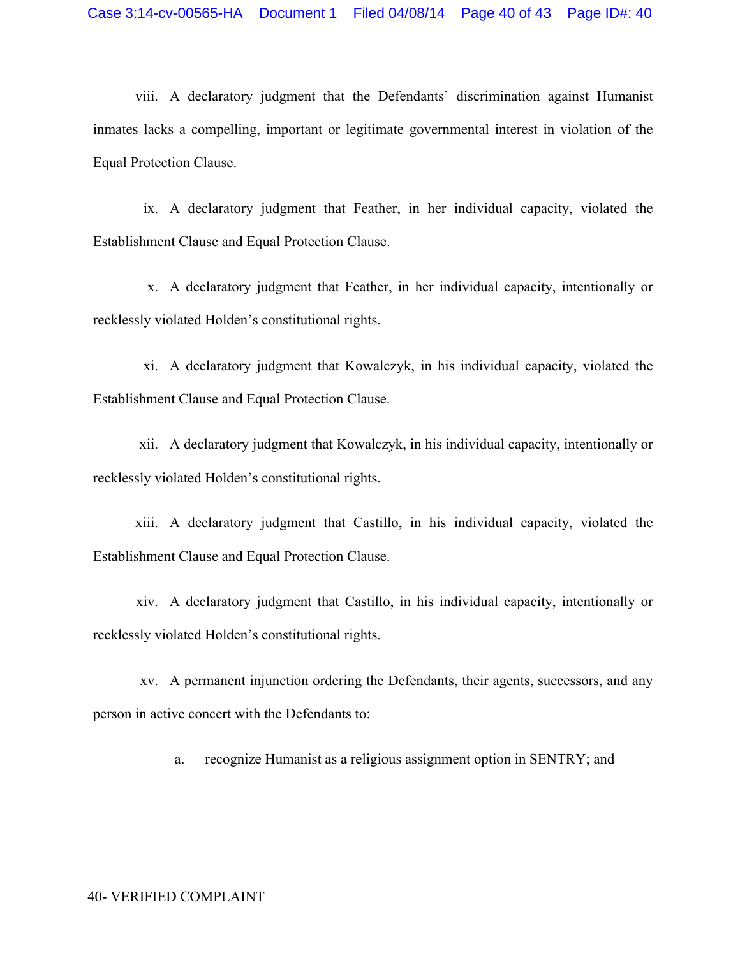viii. A declaratory judgment that the Defendants' discrimination against Humanist inmates lacks a compelling, important or legitimate governmental interest in violation of the Equal Protection Clause.

ix. A declaratory judgment that Feather, in her individual capacity, violated the Establishment Clause and Equal Protection Clause.

x. A declaratory judgment that Feather, in her individual capacity, intentionally or recklessly violated Holden's constitutional rights.

xi. A declaratory judgment that Kowalczyk, in his individual capacity, violated the Establishment Clause and Equal Protection Clause.

xii. A declaratory judgment that Kowalczyk, in his individual capacity, intentionally or recklessly violated Holden's constitutional rights.

xiii. A declaratory judgment that Castillo, in his individual capacity, violated the Establishment Clause and Equal Protection Clause.

xiv. A declaratory judgment that Castillo, in his individual capacity, intentionally or recklessly violated Holden's constitutional rights.

xv. A permanent injunction ordering the Defendants, their agents, successors, and any person in active concert with the Defendants to:

a. recognize Humanist as a religious assignment option in SENTRY; and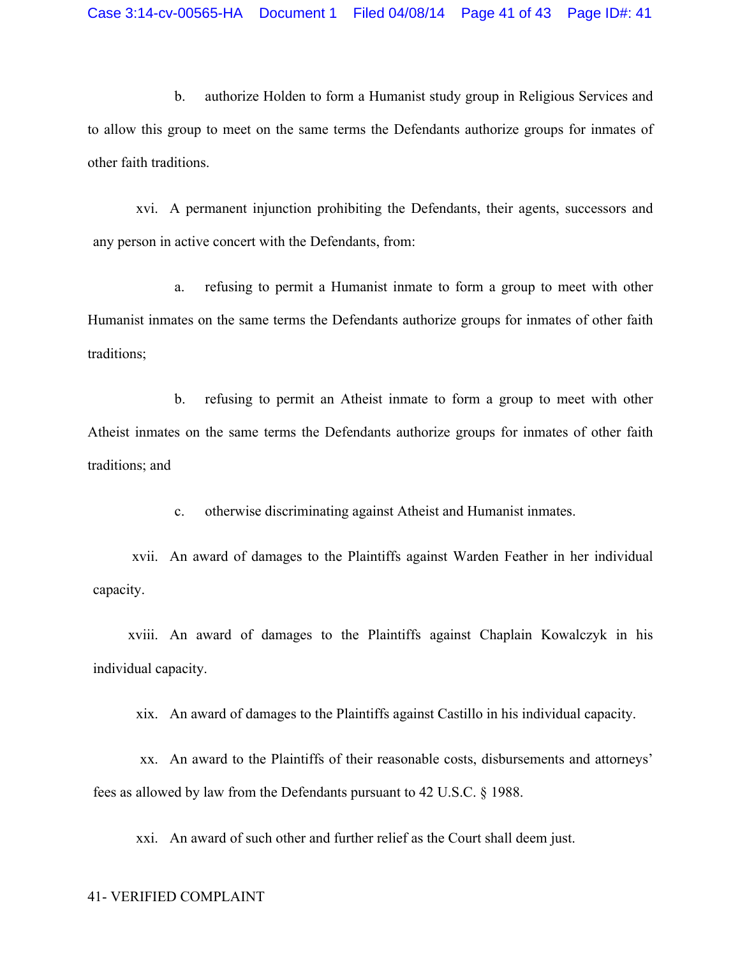b. authorize Holden to form a Humanist study group in Religious Services and to allow this group to meet on the same terms the Defendants authorize groups for inmates of other faith traditions.

xvi. A permanent injunction prohibiting the Defendants, their agents, successors and any person in active concert with the Defendants, from:

a. refusing to permit a Humanist inmate to form a group to meet with other Humanist inmates on the same terms the Defendants authorize groups for inmates of other faith traditions;

b. refusing to permit an Atheist inmate to form a group to meet with other Atheist inmates on the same terms the Defendants authorize groups for inmates of other faith traditions; and

c. otherwise discriminating against Atheist and Humanist inmates.

xvii. An award of damages to the Plaintiffs against Warden Feather in her individual capacity.

xviii. An award of damages to the Plaintiffs against Chaplain Kowalczyk in his individual capacity.

xix. An award of damages to the Plaintiffs against Castillo in his individual capacity.

xx. An award to the Plaintiffs of their reasonable costs, disbursements and attorneys' fees as allowed by law from the Defendants pursuant to 42 U.S.C. § 1988.

xxi. An award of such other and further relief as the Court shall deem just.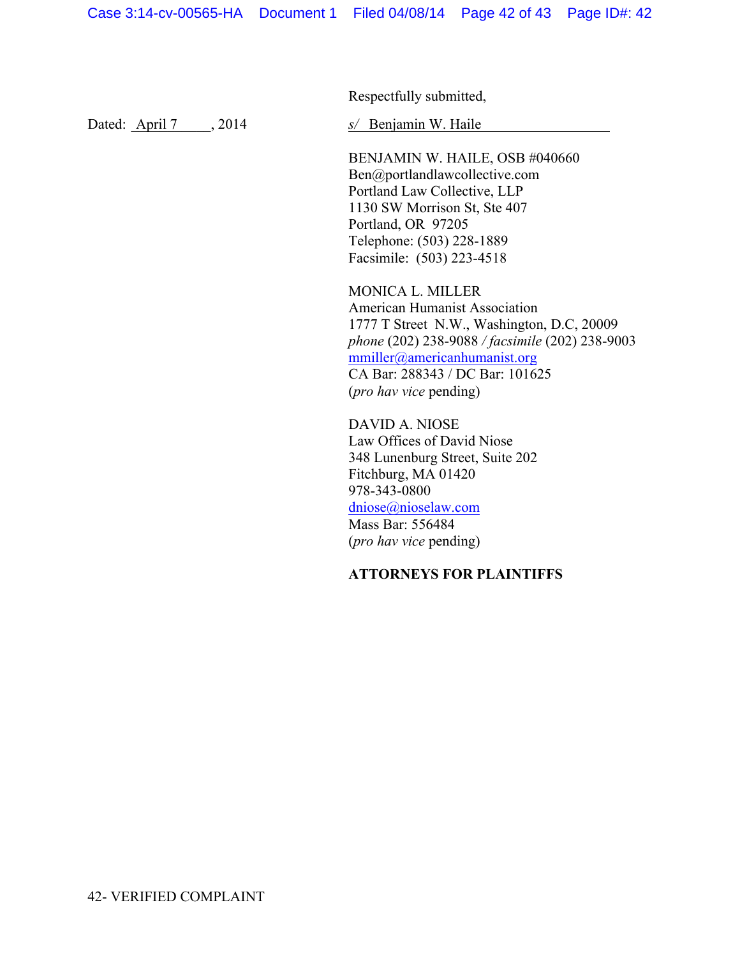Respectfully submitted,

Dated: <u>April 7</u>, 2014

 $s$  Benjamin W. Haile

BENJAMIN W. HAILE, OSB #040660 Ben@portlandlawcollective.com Portland Law Collective, LLP 1130 SW Morrison St, Ste 407 Portland, OR 97205 Telephone: (503) 228-1889 Facsimile: (503) 223-4518

MONICA L. MILLER American Humanist Association 1777 T Street N.W., Washington, D.C, 20009 *phone* (202) 238-9088 */ facsimile* (202) 238-9003 mmiller@americanhumanist.org CA Bar: 288343 / DC Bar: 101625 (*pro hav vice* pending)

DAVID A. NIOSE Law Offices of David Niose 348 Lunenburg Street, Suite 202 Fitchburg, MA 01420 978-343-0800 dniose@nioselaw.com Mass Bar: 556484 (*pro hav vice* pending)

# **ATTORNEYS FOR PLAINTIFFS**